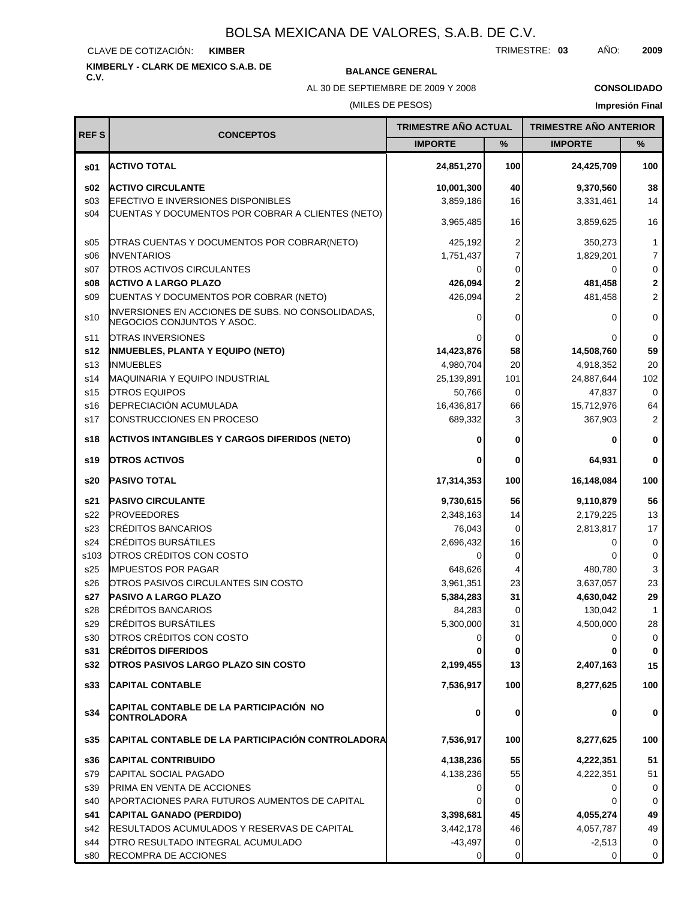CLAVE DE COTIZACIÓN: **KIMBER**

# **KIMBERLY - CLARK DE MEXICO S.A.B. DE**

#### **BALANCE GENERAL**

AL 30 DE SEPTIEMBRE DE 2009 Y 2008

**CONSOLIDADO**

## (MILES DE PESOS)

| <b>REFS</b>     | <b>CONCEPTOS</b>                                                                | TRIMESTRE AÑO ACTUAL |      | <b>TRIMESTRE AÑO ANTERIOR</b> |                |
|-----------------|---------------------------------------------------------------------------------|----------------------|------|-------------------------------|----------------|
|                 |                                                                                 | <b>IMPORTE</b>       | $\%$ | <b>IMPORTE</b>                | %              |
| s01             | <b>ACTIVO TOTAL</b>                                                             | 24,851,270           | 100  | 24,425,709                    | 100            |
| \$02            | <b>ACTIVO CIRCULANTE</b>                                                        | 10,001,300           | 40   | 9,370,560                     | 38             |
| s03             | <b>EFECTIVO E INVERSIONES DISPONIBLES</b>                                       | 3,859,186            | 16   | 3,331,461                     | 14             |
| s04             | CUENTAS Y DOCUMENTOS POR COBRAR A CLIENTES (NETO)                               | 3,965,485            | 16   | 3,859,625                     | 16             |
| \$05            | OTRAS CUENTAS Y DOCUMENTOS POR COBRAR(NETO)                                     | 425,192              | 2    | 350,273                       | $\mathbf{1}$   |
| \$06            | <b>INVENTARIOS</b>                                                              | 1,751,437            | 7    | 1,829,201                     | $\overline{7}$ |
| S <sub>07</sub> | OTROS ACTIVOS CIRCULANTES                                                       | 0                    | 0    | 0                             | $\mathsf 0$    |
| \$08            | <b>ACTIVO A LARGO PLAZO</b>                                                     | 426,094              | 2    | 481,458                       | 2              |
| s09             | CUENTAS Y DOCUMENTOS POR COBRAR (NETO)                                          | 426,094              | 2    | 481,458                       | $\mathbf{2}$   |
| s10             | INVERSIONES EN ACCIONES DE SUBS. NO CONSOLIDADAS,<br>NEGOCIOS CONJUNTOS Y ASOC. | 0                    | 0    | 0                             | $\mathbf 0$    |
| s11             | <b>OTRAS INVERSIONES</b>                                                        |                      | 0    | 0                             | 0              |
| s12             | <b>INMUEBLES, PLANTA Y EQUIPO (NETO)</b>                                        | 14,423,876           | 58   | 14,508,760                    | 59             |
| s <sub>13</sub> | <b>INMUEBLES</b>                                                                | 4,980,704            | 20   | 4,918,352                     | 20             |
| s14             | MAQUINARIA Y EQUIPO INDUSTRIAL                                                  | 25,139,891           | 101  | 24,887,644                    | 102            |
| s <sub>15</sub> | <b>OTROS EQUIPOS</b>                                                            | 50,766               | 0    | 47,837                        | 0              |
| s16             | <b>DEPRECIACIÓN ACUMULADA</b>                                                   | 16,436,817           | 66   | 15,712,976                    | 64             |
| s17             | CONSTRUCCIONES EN PROCESO                                                       | 689,332              | 3    | 367,903                       | $\overline{2}$ |
| s18             | <b>ACTIVOS INTANGIBLES Y CARGOS DIFERIDOS (NETO)</b>                            | 0                    | 0    | 0                             | $\bf{0}$       |
| s19             | <b>OTROS ACTIVOS</b>                                                            | 0                    | 0    | 64,931                        | 0              |
| s20             | <b>PASIVO TOTAL</b>                                                             | 17,314,353           | 100  | 16,148,084                    | 100            |
| s21             | <b>PASIVO CIRCULANTE</b>                                                        | 9,730,615            | 56   | 9,110,879                     | 56             |
| s22             | <b>PROVEEDORES</b>                                                              | 2,348,163            | 14   | 2,179,225                     | 13             |
| s23             | <b>CRÉDITOS BANCARIOS</b>                                                       | 76,043               | 0    | 2,813,817                     | 17             |
| s24             | <b>CRÉDITOS BURSÁTILES</b>                                                      | 2,696,432            | 16   | 0                             | 0              |
| s103            | OTROS CRÉDITOS CON COSTO                                                        | 0                    | 0    |                               | 0              |
| s25             | <b>IMPUESTOS POR PAGAR</b>                                                      | 648,626              | 4    | 480,780                       | 3              |
| s26             | <b>OTROS PASIVOS CIRCULANTES SIN COSTO</b>                                      | 3,961,351            | 23   | 3,637,057                     | 23             |
| s27             | <b>PASIVO A LARGO PLAZO</b>                                                     | 5,384,283            | 31   | 4,630,042                     | 29             |
| s28             | <b>CRÉDITOS BANCARIOS</b>                                                       | 84,283               | 0    | 130,042                       | $\mathbf{1}$   |
| s29             | CRÉDITOS BURSÁTILES                                                             | 5,300,000            | 31   | 4,500,000                     | 28             |
| s30             | OTROS CRÉDITOS CON COSTO                                                        | 0                    | 0    | 0                             | 0              |
| s31             | <b>CRÉDITOS DIFERIDOS</b>                                                       |                      | 0    |                               | $\bf{0}$       |
| s32             | <b>OTROS PASIVOS LARGO PLAZO SIN COSTO</b>                                      | 2,199,455            | 13   | 2,407,163                     | 15             |
| s33             | <b>CAPITAL CONTABLE</b>                                                         | 7,536,917            | 100  | 8,277,625                     | 100            |
| s34             | CAPITAL CONTABLE DE LA PARTICIPACIÓN NO<br><b>CONTROLADORA</b>                  | 0                    | 0    | 0                             | 0              |
| s35             | <b>CAPITAL CONTABLE DE LA PARTICIPACIÓN CONTROLADORA</b>                        | 7,536,917            | 100  | 8,277,625                     | 100            |
| s36             | <b>CAPITAL CONTRIBUIDO</b>                                                      | 4,138,236            | 55   | 4,222,351                     | 51             |
| s79             | CAPITAL SOCIAL PAGADO                                                           | 4,138,236            | 55   | 4,222,351                     | 51             |
| s39             | PRIMA EN VENTA DE ACCIONES                                                      |                      | 0    | 0                             | 0              |
| s40             | APORTACIONES PARA FUTUROS AUMENTOS DE CAPITAL                                   |                      | 0    | 0                             | 0              |
| s41             | CAPITAL GANADO (PERDIDO)                                                        | 3,398,681            | 45   | 4,055,274                     | 49             |
| s42             | RESULTADOS ACUMULADOS Y RESERVAS DE CAPITAL                                     | 3,442,178            | 46   | 4,057,787                     | 49             |
| s44             | OTRO RESULTADO INTEGRAL ACUMULADO                                               | $-43,497$            | 0    | $-2,513$                      | 0              |
| s80             | RECOMPRA DE ACCIONES                                                            | 0                    | 0    | 0                             | 0              |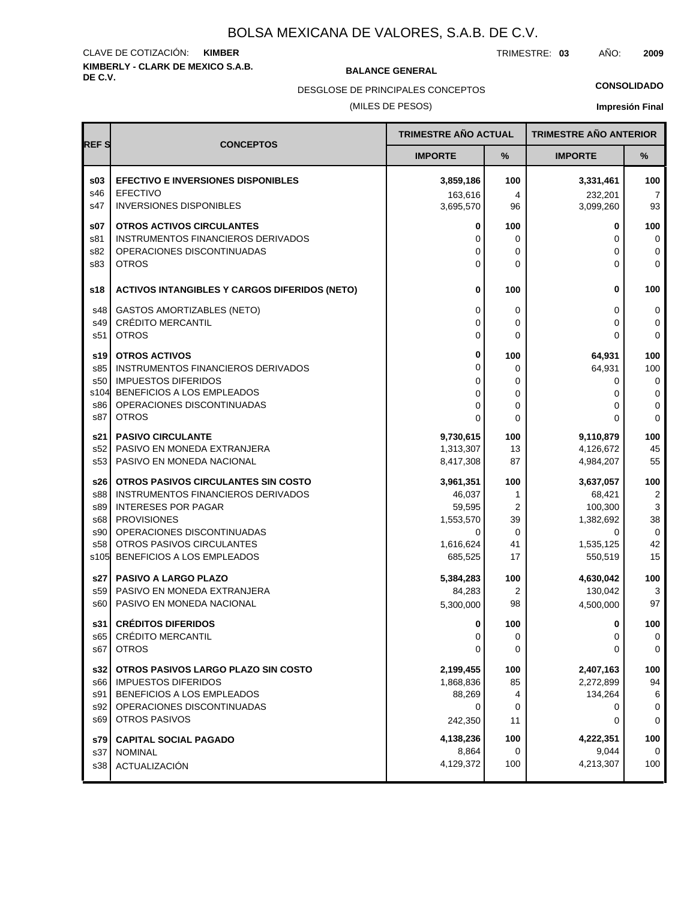#### **KIMBERLY - CLARK DE MEXICO S.A.B.** CLAVE DE COTIZACIÓN: **KIMBER**

**BALANCE GENERAL** 

TRIMESTRE: **03** AÑO: **2009**

DESGLOSE DE PRINCIPALES CONCEPTOS

(MILES DE PESOS)

#### **CONSOLIDADO**

|             | <b>TRIMESTRE AÑO ACTUAL</b>                              |                |         | <b>TRIMESTRE AÑO ANTERIOR</b> |                            |
|-------------|----------------------------------------------------------|----------------|---------|-------------------------------|----------------------------|
| <b>REFS</b> | <b>CONCEPTOS</b>                                         | <b>IMPORTE</b> | %       | <b>IMPORTE</b>                | %                          |
| \$03        | <b>EFECTIVO E INVERSIONES DISPONIBLES</b>                | 3,859,186      | 100     | 3,331,461                     | 100                        |
| s46         | <b>EFECTIVO</b>                                          | 163.616        | 4       | 232.201                       | 7                          |
| s47         | <b>INVERSIONES DISPONIBLES</b>                           | 3,695,570      | 96      | 3,099,260                     | 93                         |
| \$07        | <b>OTROS ACTIVOS CIRCULANTES</b>                         | 0              | 100     | 0                             | 100                        |
| s81         | INSTRUMENTOS FINANCIEROS DERIVADOS                       | 0              | 0       | 0                             | 0                          |
| s82         | OPERACIONES DISCONTINUADAS                               | 0              | 0       | 0                             | 0                          |
| s83         | <b>OTROS</b>                                             | 0              | 0       | 0                             | 0                          |
| s18         | <b>ACTIVOS INTANGIBLES Y CARGOS DIFERIDOS (NETO)</b>     | 0              | 100     | 0                             | 100                        |
| s48         | <b>GASTOS AMORTIZABLES (NETO)</b>                        | 0              | 0       | 0                             | 0                          |
| s49         | <b>CRÉDITO MERCANTIL</b>                                 | 0              | 0       | 0                             | $\mathbf 0$                |
| s51         | <b>OTROS</b>                                             | 0              | 0       | 0                             | $\mathbf 0$                |
| s19 l       | <b>OTROS ACTIVOS</b>                                     | 0              | 100     | 64,931                        | 100                        |
| s85         | INSTRUMENTOS FINANCIEROS DERIVADOS                       | 0              | 0       | 64,931                        | 100                        |
| s50         | <b>IMPUESTOS DIFERIDOS</b>                               | 0              | 0       | 0                             | 0                          |
| s104        | BENEFICIOS A LOS EMPLEADOS<br>OPERACIONES DISCONTINUADAS | $\Omega$       | 0       | 0                             | 0                          |
| s86<br>s87  | <b>OTROS</b>                                             | 0<br>0         | 0<br>0  | 0<br>0                        | $\mathbf 0$<br>$\mathbf 0$ |
|             |                                                          |                |         |                               |                            |
| s21         | <b>PASIVO CIRCULANTE</b>                                 | 9,730,615      | 100     | 9,110,879                     | 100                        |
| s52         | PASIVO EN MONEDA EXTRANJERA                              | 1,313,307      | 13      | 4,126,672                     | 45<br>55                   |
| s53         | PASIVO EN MONEDA NACIONAL                                | 8,417,308      | 87      | 4,984,207                     |                            |
| s26         | OTROS PASIVOS CIRCULANTES SIN COSTO                      | 3,961,351      | 100     | 3,637,057                     | 100                        |
| s88         | INSTRUMENTOS FINANCIEROS DERIVADOS                       | 46,037         | 1       | 68,421                        | $\overline{2}$             |
| s89         | <b>INTERESES POR PAGAR</b>                               | 59,595         | 2       | 100,300                       | 3                          |
| s68<br>s90  | <b>PROVISIONES</b><br>OPERACIONES DISCONTINUADAS         | 1,553,570<br>0 | 39<br>0 | 1,382,692<br>0                | 38<br>0                    |
| s58         | OTROS PASIVOS CIRCULANTES                                | 1,616,624      | 41      | 1,535,125                     | 42                         |
| s105        | BENEFICIOS A LOS EMPLEADOS                               | 685,525        | 17      | 550,519                       | 15                         |
| s27         | <b>PASIVO A LARGO PLAZO</b>                              | 5,384,283      | 100     | 4,630,042                     | 100                        |
| s59         | PASIVO EN MONEDA EXTRANJERA                              | 84,283         | 2       | 130,042                       | 3                          |
| s60         | PASIVO EN MONEDA NACIONAL                                | 5,300,000      | 98      | 4,500,000                     | 97                         |
| s31         | <b>CRÉDITOS DIFERIDOS</b>                                | 0              | 100     | 0                             | 100                        |
| s65         | <b>CRÉDITO MERCANTIL</b>                                 | 0              | 0       | 0                             | 0                          |
| s67         | <b>OTROS</b>                                             | 0              | 0       | 0                             | 0                          |
| s32         | OTROS PASIVOS LARGO PLAZO SIN COSTO                      | 2,199,455      | 100     | 2,407,163                     | 100                        |
| s66         | <b>IMPUESTOS DIFERIDOS</b>                               | 1,868,836      | 85      | 2,272,899                     | 94                         |
| s91         | BENEFICIOS A LOS EMPLEADOS                               | 88,269         | 4       | 134,264                       | 6                          |
| s92         | OPERACIONES DISCONTINUADAS                               | 0              | 0       | 0                             | 0                          |
| s69         | <b>OTROS PASIVOS</b>                                     | 242,350        | 11      | 0                             | 0                          |
| s79         | <b>CAPITAL SOCIAL PAGADO</b>                             | 4,138,236      | 100     | 4,222,351                     | 100                        |
| s37         | <b>NOMINAL</b>                                           | 8,864          | 0       | 9,044                         | 0                          |
| s38         | ACTUALIZACIÓN                                            | 4,129,372      | 100     | 4,213,307                     | 100                        |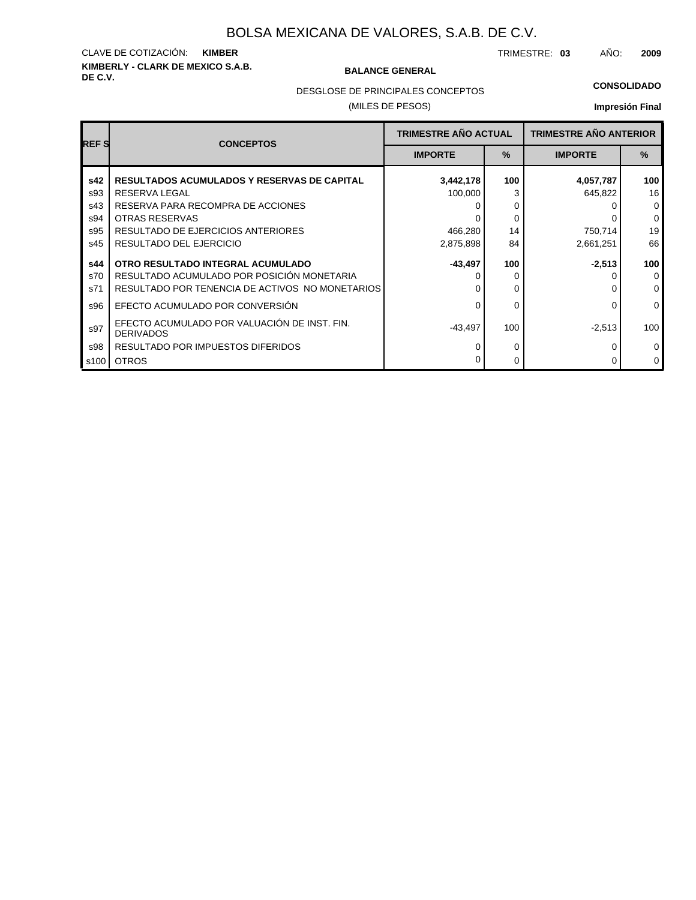## **KIMBERLY - CLARK DE MEXICO S.A.B.** CLAVE DE COTIZACIÓN: **KIMBER**

#### **BALANCE GENERAL**

TRIMESTRE: **03** AÑO: **2009**

#### **CONSOLIDADO**

DESGLOSE DE PRINCIPALES CONCEPTOS

#### (MILES DE PESOS)

| <b>REFS</b> | <b>CONCEPTOS</b>                                                 | <b>TRIMESTRE AÑO ACTUAL</b> |               | <b>TRIMESTRE AÑO ANTERIOR</b> |               |
|-------------|------------------------------------------------------------------|-----------------------------|---------------|-------------------------------|---------------|
|             |                                                                  | <b>IMPORTE</b>              | $\frac{9}{6}$ | <b>IMPORTE</b>                | $\frac{9}{6}$ |
| s42         | <b>RESULTADOS ACUMULADOS Y RESERVAS DE CAPITAL</b>               | 3,442,178                   | 100           | 4,057,787                     | 100           |
| s93         | RESERVA LEGAL                                                    | 100,000                     | 3             | 645,822                       | 16            |
| s43         | RESERVA PARA RECOMPRA DE ACCIONES                                |                             | 0             |                               | $\mathbf 0$   |
| s94         | OTRAS RESERVAS                                                   |                             | 0             |                               | 0             |
| s95         | <b>RESULTADO DE EJERCICIOS ANTERIORES</b>                        | 466,280                     | 14            | 750,714                       | 19            |
| s45         | RESULTADO DEL EJERCICIO                                          | 2,875,898                   | 84            | 2,661,251                     | 66            |
| s44         | OTRO RESULTADO INTEGRAL ACUMULADO                                | $-43,497$                   | 100           | $-2,513$                      | 100           |
| s70         | RESULTADO ACUMULADO POR POSICIÓN MONETARIA                       |                             | $\Omega$      |                               | $\mathbf 0$   |
| s71         | RESULTADO POR TENENCIA DE ACTIVOS NO MONETARIOS                  |                             | 0             |                               | $\mathbf 0$   |
| s96         | EFECTO ACUMULADO POR CONVERSIÓN                                  | <sup>0</sup>                | 0             | 0                             | $\mathbf 0$   |
| s97         | EFECTO ACUMULADO POR VALUACIÓN DE INST. FIN.<br><b>DERIVADOS</b> | $-43,497$                   | 100           | $-2,513$                      | 100           |
| s98         | RESULTADO POR IMPUESTOS DIFERIDOS                                | O                           | 0             |                               | 0             |
| s100        | <b>OTROS</b>                                                     |                             | 0             |                               | $\mathbf 0$   |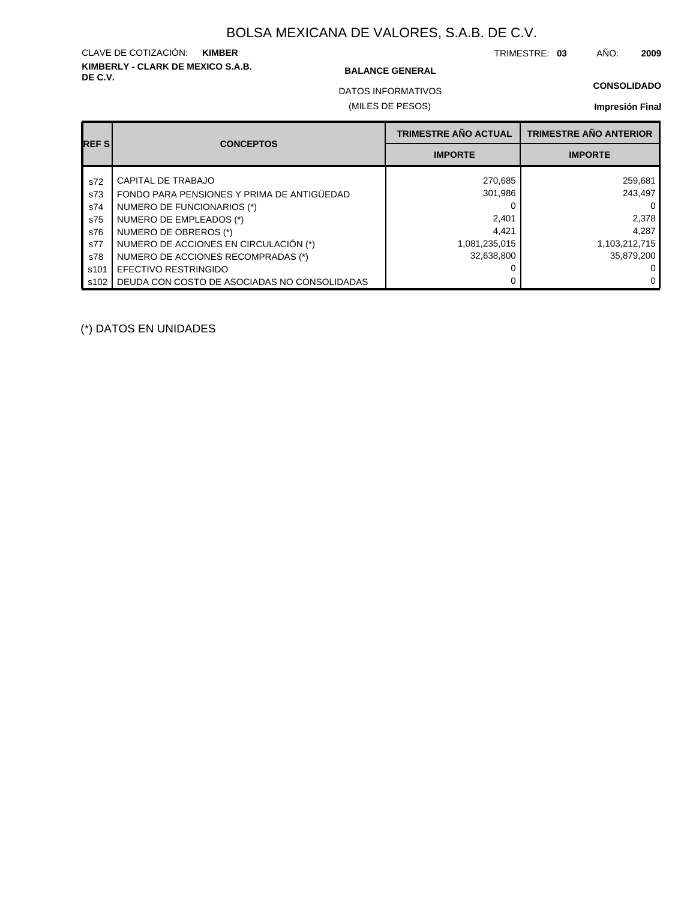# **KIMBERLY - CLARK DE MEXICO S.A.B.** CLAVE DE COTIZACIÓN: **KIMBER**

#### **BALANCE GENERAL**

TRIMESTRE: **03** AÑO: **2009**

#### **CONSOLIDADO**

(MILES DE PESOS) DATOS INFORMATIVOS

#### **Impresión Final**

| <b>REFSI</b> | <b>CONCEPTOS</b>                             | <b>TRIMESTRE AÑO ACTUAL</b> | <b>TRIMESTRE AÑO ANTERIOR</b> |  |
|--------------|----------------------------------------------|-----------------------------|-------------------------------|--|
|              |                                              | <b>IMPORTE</b>              | <b>IMPORTE</b>                |  |
| s72          | CAPITAL DE TRABAJO                           | 270,685                     | 259,681                       |  |
| s73          | FONDO PARA PENSIONES Y PRIMA DE ANTIGÜEDAD   | 301,986                     | 243,497                       |  |
| s74          | NUMERO DE FUNCIONARIOS (*)                   |                             | $\Omega$                      |  |
| s75          | NUMERO DE EMPLEADOS (*)                      | 2,401                       | 2,378                         |  |
| s76          | NUMERO DE OBREROS (*)                        | 4.421                       | 4.287                         |  |
| s77          | NUMERO DE ACCIONES EN CIRCULACIÓN (*)        | 1,081,235,015               | 1,103,212,715                 |  |
| s78          | NUMERO DE ACCIONES RECOMPRADAS (*)           | 32,638,800                  | 35,879,200                    |  |
| s101         | EFECTIVO RESTRINGIDO                         |                             | 0                             |  |
| s102         | DEUDA CON COSTO DE ASOCIADAS NO CONSOLIDADAS |                             | $\mathbf{0}$                  |  |

(\*) DATOS EN UNIDADES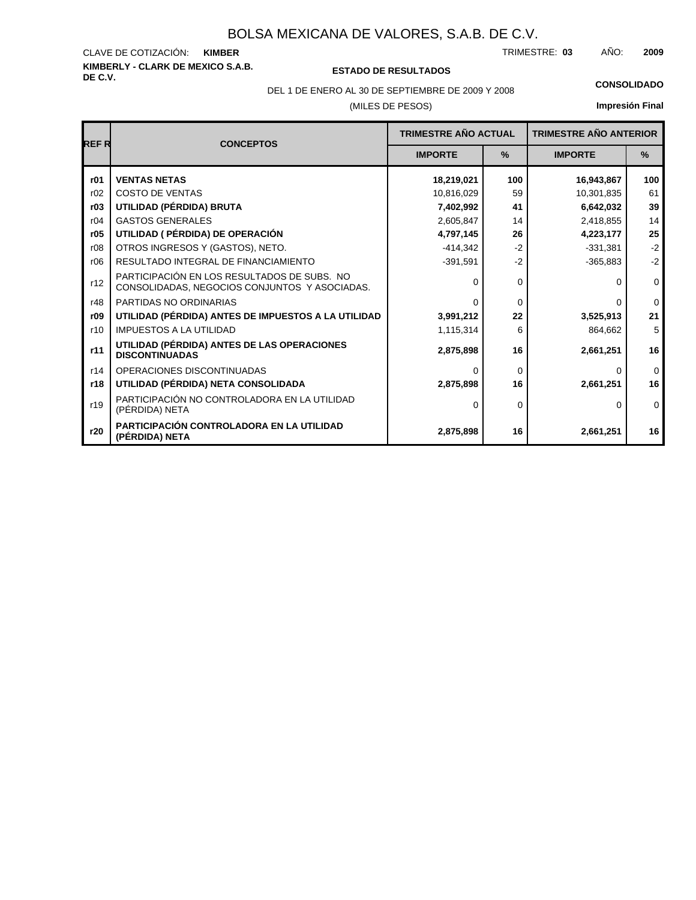# **KIMBERLY - CLARK DE MEXICO S.A.B.** CLAVE DE COTIZACIÓN:

**DE C.V. ESTADO DE RESULTADOS**

TRIMESTRE: AÑO: **KIMBER 03 2009**

(MILES DE PESOS) DEL 1 DE ENERO AL 30 DE SEPTIEMBRE DE 2009 Y 2008 **CONSOLIDADO**

| <b>REFR</b> | <b>CONCEPTOS</b>                                                                             | <b>TRIMESTRE AÑO ACTUAL</b> |          | <b>TRIMESTRE AÑO ANTERIOR</b> |               |
|-------------|----------------------------------------------------------------------------------------------|-----------------------------|----------|-------------------------------|---------------|
|             |                                                                                              | <b>IMPORTE</b>              | $\%$     | <b>IMPORTE</b>                | $\frac{9}{6}$ |
| r01         | <b>VENTAS NETAS</b>                                                                          | 18,219,021                  | 100      | 16,943,867                    | 100           |
| r02         | <b>COSTO DE VENTAS</b>                                                                       | 10,816,029                  | 59       | 10,301,835                    | 61            |
| r03         | UTILIDAD (PÉRDIDA) BRUTA                                                                     | 7,402,992                   | 41       | 6,642,032                     | 39            |
| r04         | <b>GASTOS GENERALES</b>                                                                      | 2,605,847                   | 14       | 2,418,855                     | 14            |
| r05         | UTILIDAD ( PÉRDIDA) DE OPERACIÓN                                                             | 4,797,145                   | 26       | 4,223,177                     | 25            |
| r08         | OTROS INGRESOS Y (GASTOS), NETO.                                                             | $-414.342$                  | $-2$     | $-331,381$                    | $-2$          |
| r06         | RESULTADO INTEGRAL DE FINANCIAMIENTO                                                         | $-391,591$                  | $-2$     | $-365,883$                    | $-2$          |
| r12         | PARTICIPACIÓN EN LOS RESULTADOS DE SUBS. NO<br>CONSOLIDADAS, NEGOCIOS CONJUNTOS Y ASOCIADAS. | O                           | 0        | 0                             | $\mathbf{0}$  |
| r48         | PARTIDAS NO ORDINARIAS                                                                       | O                           | 0        | 0                             | $\mathbf{0}$  |
| r09         | UTILIDAD (PÉRDIDA) ANTES DE IMPUESTOS A LA UTILIDAD                                          | 3,991,212                   | 22       | 3,525,913                     | 21            |
| r10         | <b>IMPUESTOS A LA UTILIDAD</b>                                                               | 1,115,314                   | 6        | 864,662                       | 5             |
| r11         | UTILIDAD (PÉRDIDA) ANTES DE LAS OPERACIONES<br><b>DISCONTINUADAS</b>                         | 2,875,898                   | 16       | 2,661,251                     | 16            |
| r14         | OPERACIONES DISCONTINUADAS                                                                   | 0                           | $\Omega$ | 0                             | $\mathbf 0$   |
| r18         | UTILIDAD (PÉRDIDA) NETA CONSOLIDADA                                                          | 2,875,898                   | 16       | 2,661,251                     | 16            |
| r19         | PARTICIPACIÓN NO CONTROLADORA EN LA UTILIDAD<br>(PÉRDIDA) NETA                               | 0                           | 0        | 0                             | $\Omega$      |
| r20         | <b>PARTICIPACIÓN CONTROLADORA EN LA UTILIDAD</b><br>(PÉRDIDA) NETA                           | 2,875,898                   | 16       | 2,661,251                     | 16            |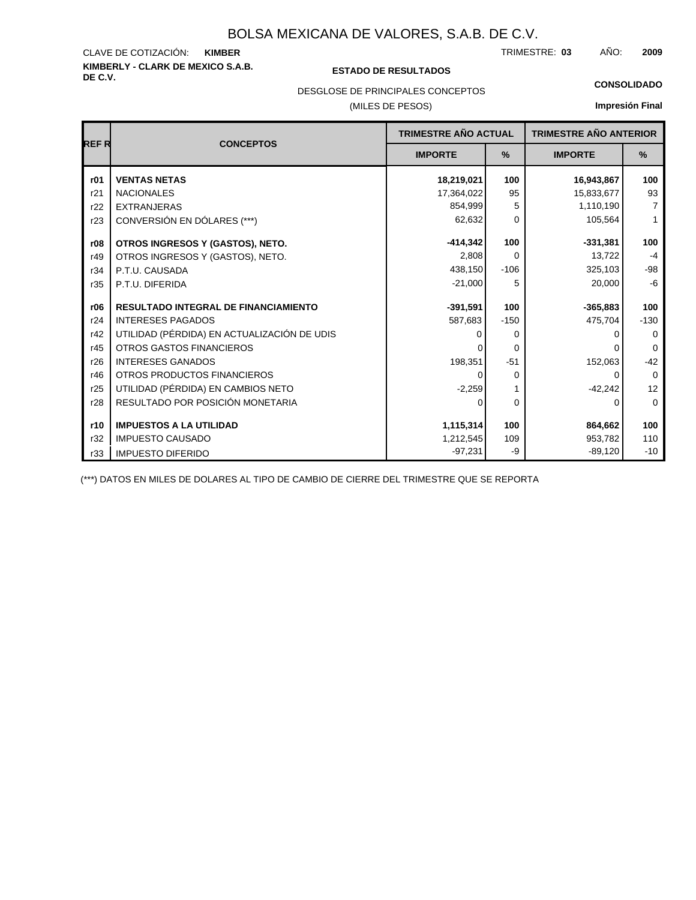# **KIMBERLY - CLARK DE MEXICO S.A.B.** CLAVE DE COTIZACIÓN:

#### **DE C.V. ESTADO DE RESULTADOS**

TRIMESTRE: AÑO: **KIMBER 03 2009**

#### **CONSOLIDADO**

DESGLOSE DE PRINCIPALES CONCEPTOS

#### (MILES DE PESOS)

### **Impresión Final**

| REF R | <b>CONCEPTOS</b>                            | TRIMESTRE AÑO ACTUAL |          | <b>TRIMESTRE AÑO ANTERIOR</b> |                |  |
|-------|---------------------------------------------|----------------------|----------|-------------------------------|----------------|--|
|       |                                             | <b>IMPORTE</b>       | $\%$     | <b>IMPORTE</b>                | %              |  |
| r01   | <b>VENTAS NETAS</b>                         | 18,219,021           | 100      | 16,943,867                    | 100            |  |
| r21   | <b>NACIONALES</b>                           | 17,364,022           | 95       | 15,833,677                    | 93             |  |
| r22   | <b>EXTRANJERAS</b>                          | 854,999              | 5        | 1,110,190                     | $\overline{7}$ |  |
| r23   | CONVERSIÓN EN DÓLARES (***)                 | 62,632               | 0        | 105,564                       | $\mathbf{1}$   |  |
| r08   | OTROS INGRESOS Y (GASTOS), NETO.            | $-414,342$           | 100      | $-331,381$                    | 100            |  |
| r49   | OTROS INGRESOS Y (GASTOS), NETO.            | 2,808                | $\Omega$ | 13,722                        | $-4$           |  |
| r34   | P.T.U. CAUSADA                              | 438.150              | $-106$   | 325,103                       | -98            |  |
| r35   | P.T.U. DIFERIDA                             | $-21,000$            | 5        | 20,000                        | $-6$           |  |
| r06   | <b>RESULTADO INTEGRAL DE FINANCIAMIENTO</b> | $-391,591$           | 100      | $-365,883$                    | 100            |  |
| r24   | <b>INTERESES PAGADOS</b>                    | 587,683              | $-150$   | 475,704                       | $-130$         |  |
| r42   | UTILIDAD (PÉRDIDA) EN ACTUALIZACIÓN DE UDIS | O                    | 0        | ŋ                             | $\Omega$       |  |
| r45   | <b>OTROS GASTOS FINANCIEROS</b>             |                      | $\Omega$ |                               | $\Omega$       |  |
| r26   | <b>INTERESES GANADOS</b>                    | 198,351              | $-51$    | 152,063                       | $-42$          |  |
| r46   | OTROS PRODUCTOS FINANCIEROS                 | 0                    | 0        | 0                             | $\mathbf 0$    |  |
| r25   | UTILIDAD (PÉRDIDA) EN CAMBIOS NETO          | $-2,259$             |          | $-42,242$                     | 12             |  |
| r28   | RESULTADO POR POSICIÓN MONETARIA            | 0                    | 0        | 0                             | $\mathbf 0$    |  |
| r10   | <b>IMPUESTOS A LA UTILIDAD</b>              | 1,115,314            | 100      | 864,662                       | 100            |  |
| r32   | <b>IMPUESTO CAUSADO</b>                     | 1,212,545            | 109      | 953,782                       | 110            |  |
| r33   | <b>IMPUESTO DIFERIDO</b>                    | $-97,231$            | -9       | $-89,120$                     | $-10$          |  |

(\*\*\*) DATOS EN MILES DE DOLARES AL TIPO DE CAMBIO DE CIERRE DEL TRIMESTRE QUE SE REPORTA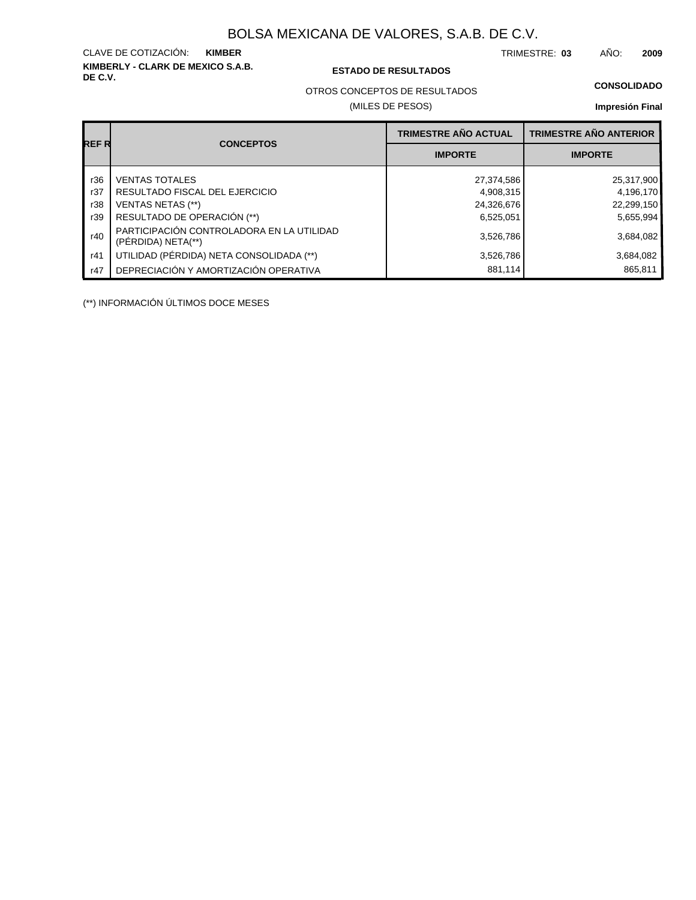**KIMBERLY - CLARK DE MEXICO S.A.B.** CLAVE DE COTIZACIÓN:

#### **DE C.V. ESTADO DE RESULTADOS**

TRIMESTRE: AÑO: **KIMBER 03 2009**

OTROS CONCEPTOS DE RESULTADOS

(MILES DE PESOS)

## **CONSOLIDADO**

**Impresión Final**

|       |                                                                 | <b>TRIMESTRE AÑO ACTUAL</b> | <b>TRIMESTRE AÑO ANTERIOR</b> |
|-------|-----------------------------------------------------------------|-----------------------------|-------------------------------|
| REF R | <b>CONCEPTOS</b>                                                | <b>IMPORTE</b>              | <b>IMPORTE</b>                |
| r36   | <b>VENTAS TOTALES</b>                                           | 27,374,586                  | 25,317,900                    |
| r37   | RESULTADO FISCAL DEL EJERCICIO                                  | 4,908,315                   | 4,196,170                     |
| r38   | <b>VENTAS NETAS (**)</b>                                        | 24,326,676                  | 22,299,150                    |
| r39   | RESULTADO DE OPERACIÓN (**)                                     | 6,525,051                   | 5,655,994                     |
| r40   | PARTICIPACIÓN CONTROLADORA EN LA UTILIDAD<br>(PÉRDIDA) NETA(**) | 3,526,786                   | 3,684,082                     |
| r41   | UTILIDAD (PÉRDIDA) NETA CONSOLIDADA (**)                        | 3,526,786                   | 3,684,082                     |
| r47   | DEPRECIACIÓN Y AMORTIZACIÓN OPERATIVA                           | 881,114                     | 865,811                       |

(\*\*) INFORMACIÓN ÚLTIMOS DOCE MESES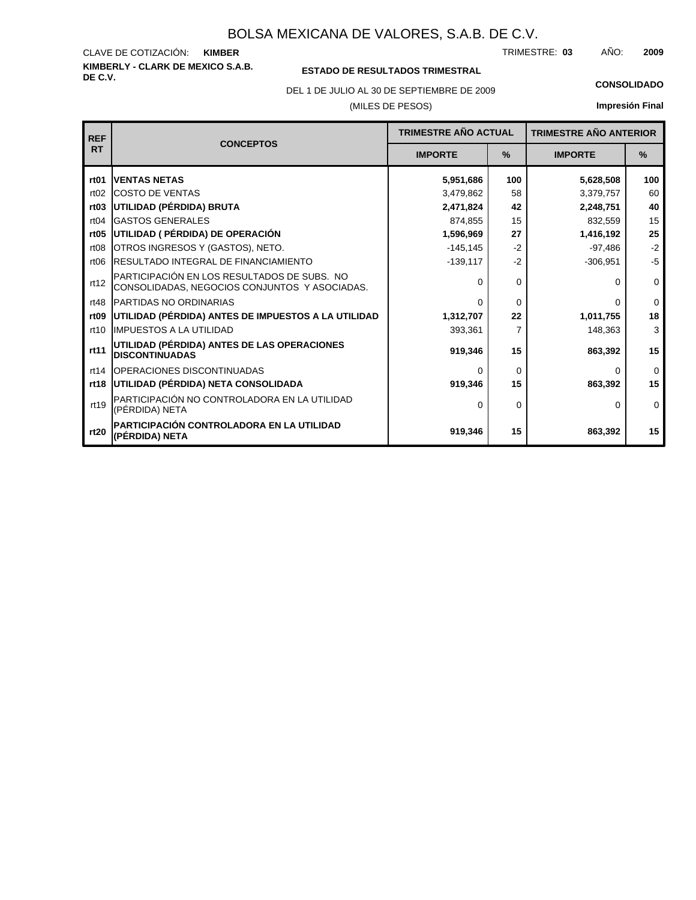**KIMBERLY - CLARK DE MEXICO S.A.B.** CLAVE DE COTIZACIÓN: TRIMESTRE: AÑO: **KIMBER 03 2009**

### **ESTADO DE RESULTADOS TRIMESTRAL**

DEL 1 DE JULIO AL 30 DE SEPTIEMBRE DE 2009 **CONSOLIDADO**

#### (MILES DE PESOS)

| <b>REF</b>       | <b>CONCEPTOS</b>                                                                             | <b>TRIMESTRE AÑO ACTUAL</b> |               | <b>TRIMESTRE AÑO ANTERIOR</b> |               |
|------------------|----------------------------------------------------------------------------------------------|-----------------------------|---------------|-------------------------------|---------------|
| <b>RT</b>        |                                                                                              | <b>IMPORTE</b>              | $\frac{9}{6}$ | <b>IMPORTE</b>                | $\frac{9}{6}$ |
| rt <sub>01</sub> | <b>IVENTAS NETAS</b>                                                                         | 5,951,686                   | 100           | 5,628,508                     | 100           |
| rt02             | <b>ICOSTO DE VENTAS</b>                                                                      | 3,479,862                   | 58            | 3,379,757                     | 60            |
| rt <sub>03</sub> | UTILIDAD (PÉRDIDA) BRUTA                                                                     | 2,471,824                   | 42            | 2,248,751                     | 40            |
| rt04             | <b>GASTOS GENERALES</b>                                                                      | 874,855                     | 15            | 832,559                       | 15            |
| rt <sub>05</sub> | UTILIDAD ( PÉRDIDA) DE OPERACIÓN                                                             | 1,596,969                   | 27            | 1,416,192                     | 25            |
| rt <sub>08</sub> | OTROS INGRESOS Y (GASTOS), NETO.                                                             | $-145.145$                  | $-2$          | $-97,486$                     | $-2$          |
| rt06             | <b>IRESULTADO INTEGRAL DE FINANCIAMIENTO</b>                                                 | $-139,117$                  | $-2$          | $-306,951$                    | $-5$          |
| rt12             | PARTICIPACIÓN EN LOS RESULTADOS DE SUBS. NO<br>CONSOLIDADAS, NEGOCIOS CONJUNTOS Y ASOCIADAS. | 0                           | 0             | 0                             | 0             |
| rt48             | <b>IPARTIDAS NO ORDINARIAS</b>                                                               | $\Omega$                    | $\Omega$      | 0                             | $\Omega$      |
| rt <sub>09</sub> | UTILIDAD (PÉRDIDA) ANTES DE IMPUESTOS A LA UTILIDAD                                          | 1,312,707                   | 22            | 1,011,755                     | 18            |
| rt10             | <b>IIMPUESTOS A LA UTILIDAD</b>                                                              | 393,361                     | 7             | 148,363                       | 3             |
| rt11             | UTILIDAD (PÉRDIDA) ANTES DE LAS OPERACIONES<br><b>DISCONTINUADAS</b>                         | 919,346                     | 15            | 863,392                       | 15            |
| rt14             | <b>IOPERACIONES DISCONTINUADAS</b>                                                           | $\Omega$                    | $\Omega$      | 0                             | $\Omega$      |
| rt18             | UTILIDAD (PÉRDIDA) NETA CONSOLIDADA                                                          | 919,346                     | 15            | 863,392                       | 15            |
| rt19             | PARTICIPACIÓN NO CONTROLADORA EN LA UTILIDAD<br>(PÉRDIDA) NETA                               | $\Omega$                    | 0             | 0                             | 0             |
| rt20             | PARTICIPACIÓN CONTROLADORA EN LA UTILIDAD<br>(PÉRDIDA) NETA                                  | 919,346                     | 15            | 863,392                       | 15            |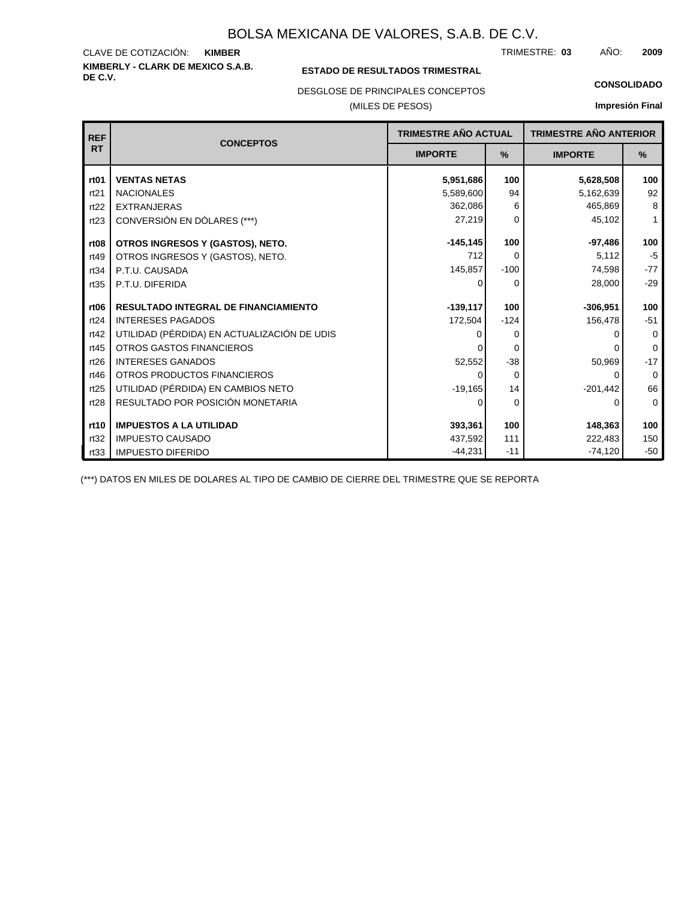#### **KIMBERLY - CLARK DE MEXICO S.A.B.** CLAVE DE COTIZACIÓN: TRIMESTRE: AÑO: **KIMBER 03 2009**

#### **ESTADO DE RESULTADOS TRIMESTRAL**

DESGLOSE DE PRINCIPALES CONCEPTOS

#### (MILES DE PESOS)

#### **CONSOLIDADO**

**Impresión Final**

| <b>REF</b>       | <b>CONCEPTOS</b>                            | TRIMESTRE AÑO ACTUAL |               | <b>TRIMESTRE AÑO ANTERIOR</b> |              |
|------------------|---------------------------------------------|----------------------|---------------|-------------------------------|--------------|
| <b>RT</b>        |                                             | <b>IMPORTE</b>       | $\frac{9}{6}$ | <b>IMPORTE</b>                | %            |
| rt <sub>01</sub> | <b>VENTAS NETAS</b>                         | 5,951,686            | 100           | 5,628,508                     | 100          |
| rt21             | <b>NACIONALES</b>                           | 5,589,600            | 94            | 5,162,639                     | 92           |
| rt22             | <b>EXTRANJERAS</b>                          | 362,086              | 6             | 465,869                       | 8            |
| rt23             | CONVERSIÓN EN DÓLARES (***)                 | 27,219               | $\Omega$      | 45,102                        | $\mathbf{1}$ |
| rt <sub>08</sub> | OTROS INGRESOS Y (GASTOS), NETO.            | $-145, 145$          | 100           |                               | 100          |
| rt49             | OTROS INGRESOS Y (GASTOS), NETO.            | 712                  | $\Omega$      | 5,112                         | $-5$         |
| rt34             | P.T.U. CAUSADA                              | 145,857              | $-100$        | 74,598                        | $-77$        |
| rt35             | P.T.U. DIFERIDA                             | 0<br>0               |               | 28,000                        | $-29$        |
|                  |                                             |                      |               |                               |              |
| rt <sub>06</sub> | <b>RESULTADO INTEGRAL DE FINANCIAMIENTO</b> | $-139, 117$          | 100           | $-306,951$                    | 100          |
| rt24             | <b>INTERESES PAGADOS</b>                    | 172,504              | $-124$        | 156,478                       | $-51$        |
| rt42             | UTILIDAD (PÉRDIDA) EN ACTUALIZACIÓN DE UDIS |                      | 0             |                               | $\Omega$     |
| rt45             | <b>OTROS GASTOS FINANCIEROS</b>             |                      | $\Omega$      |                               | $\Omega$     |
| rt26             | <b>INTERESES GANADOS</b>                    | 52,552               | $-38$         | 50,969                        | $-17$        |
| rt46             | OTROS PRODUCTOS FINANCIEROS                 | 0                    | $\Omega$      | 0                             | $\Omega$     |
| rt25             | UTILIDAD (PÉRDIDA) EN CAMBIOS NETO          | $-19,165$            | 14            | $-201,442$                    | 66           |
| rt28             | RESULTADO POR POSICIÓN MONETARIA            | 0                    | $\Omega$      |                               | $\Omega$     |
|                  |                                             |                      |               |                               |              |
| rt10             | <b>IMPUESTOS A LA UTILIDAD</b>              | 393,361              | 100           | 148,363                       | 100          |
| rt32             | <b>IMPUESTO CAUSADO</b>                     | 437,592              | 111           | 222,483                       | 150          |
| rt33             | <b>IMPUESTO DIFERIDO</b>                    | $-44,231$            | $-11$         | $-74,120$                     | $-50$        |

(\*\*\*) DATOS EN MILES DE DOLARES AL TIPO DE CAMBIO DE CIERRE DEL TRIMESTRE QUE SE REPORTA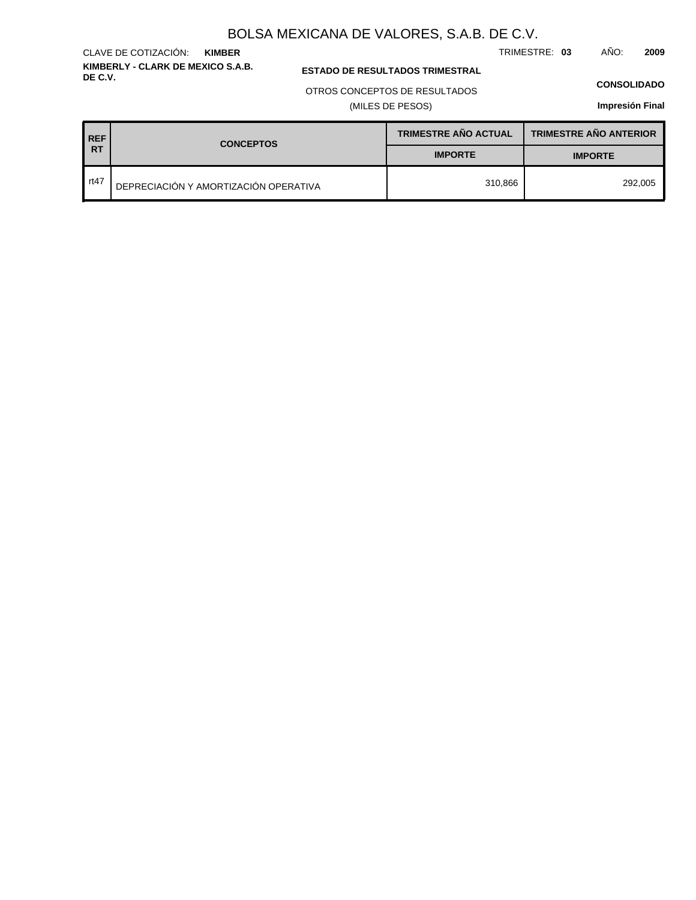TRIMESTRE: **03** AÑO: **2009**

#### **ESTADO DE RESULTADOS TRIMESTRAL**

#### OTROS CONCEPTOS DE RESULTADOS

(MILES DE PESOS)

#### **CONSOLIDADO**

**Impresión Final**

|           | (MILES DE PESOS) |                  |                             | Impresión Fin                 |
|-----------|------------------|------------------|-----------------------------|-------------------------------|
|           | <b>REF</b>       | <b>CONCEPTOS</b> | <b>TRIMESTRE AÑO ACTUAL</b> | <b>TRIMESTRE AÑO ANTERIOR</b> |
| <b>RT</b> |                  | <b>IMPORTE</b>   | <b>IMPORTE</b>              |                               |

|      |                                       | $\cdots$ $\cdots$ | - 11111 VIII L |
|------|---------------------------------------|-------------------|----------------|
| rt47 | DEPRECIACIÓN Y AMORTIZACIÓN OPERATIVA | 310,866           | 292,005        |

**KIMBERLY - CLARK DE MEXICO S.A.B.** CLAVE DE COTIZACIÓN: **KIMBER**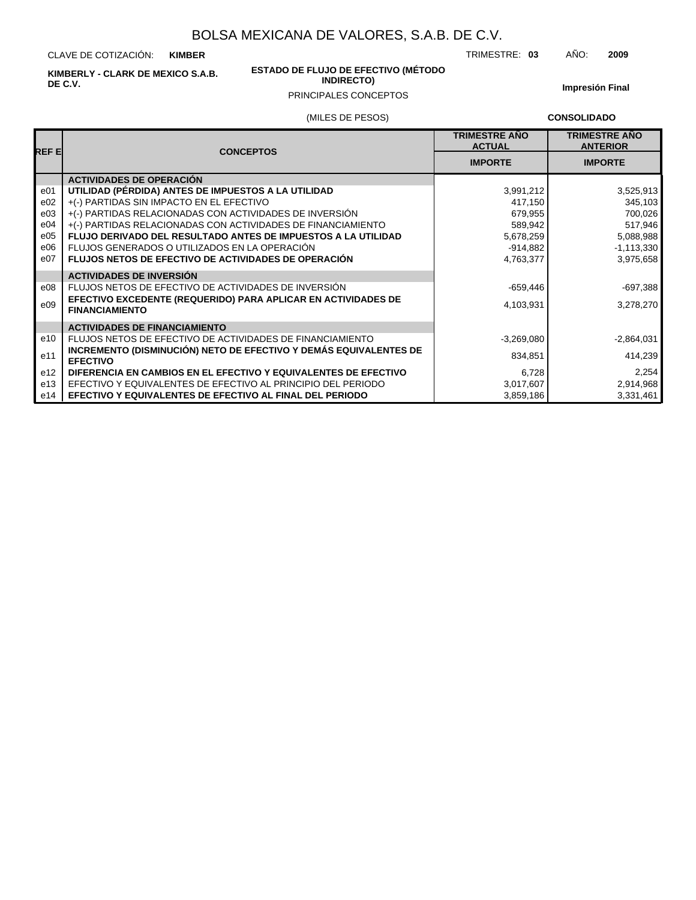CLAVE DE COTIZACIÓN: **KIMBER**

**KIMBERLY - CLARK DE MEXICO S.A.B. DE C.V.**

#### **ESTADO DE FLUJO DE EFECTIVO (MÉTODO INDIRECTO)**

**Impresión Final**

## PRINCIPALES CONCEPTOS

#### (MILES DE PESOS)

**CONSOLIDADO**

| REF EI          | <b>CONCEPTOS</b>                                                                       | <b>TRIMESTRE AÑO</b><br><b>ACTUAL</b> | <b>TRIMESTRE AÑO</b><br><b>ANTERIOR</b> |
|-----------------|----------------------------------------------------------------------------------------|---------------------------------------|-----------------------------------------|
|                 |                                                                                        | <b>IMPORTE</b>                        | <b>IMPORTE</b>                          |
|                 | <b>ACTIVIDADES DE OPERACIÓN</b>                                                        |                                       |                                         |
| e01             | UTILIDAD (PÉRDIDA) ANTES DE IMPUESTOS A LA UTILIDAD                                    | 3,991,212                             | 3,525,913                               |
| e02             | +(-) PARTIDAS SIN IMPACTO EN EL EFECTIVO                                               | 417,150                               | 345,103                                 |
| e03             | +(-) PARTIDAS RELACIONADAS CON ACTIVIDADES DE INVERSIÓN                                | 679,955                               | 700,026                                 |
| e04             | +(-) PARTIDAS RELACIONADAS CON ACTIVIDADES DE FINANCIAMIENTO                           | 589.942                               | 517,946                                 |
| e05             | <b>FLUJO DERIVADO DEL RESULTADO ANTES DE IMPUESTOS A LA UTILIDAD</b>                   | 5,678,259                             | 5,088,988                               |
| e06             | FLUJOS GENERADOS O UTILIZADOS EN LA OPERACIÓN                                          | $-914,882$                            | $-1,113,330$                            |
| e07             | <b>FLUJOS NETOS DE EFECTIVO DE ACTIVIDADES DE OPERACIÓN</b>                            | 4,763,377                             | 3,975,658                               |
|                 | <b>ACTIVIDADES DE INVERSION</b>                                                        |                                       |                                         |
| e08             | FLUJOS NETOS DE EFECTIVO DE ACTIVIDADES DE INVERSIÓN                                   | -659,446                              | -697,388                                |
| e09             | EFECTIVO EXCEDENTE (REQUERIDO) PARA APLICAR EN ACTIVIDADES DE<br><b>FINANCIAMIENTO</b> | 4,103,931                             | 3,278,270                               |
|                 | <b>ACTIVIDADES DE FINANCIAMIENTO</b>                                                   |                                       |                                         |
| e10             | FLUJOS NETOS DE EFECTIVO DE ACTIVIDADES DE FINANCIAMIENTO                              | $-3,269,080$                          | $-2,864,031$                            |
| e11             | INCREMENTO (DISMINUCIÓN) NETO DE EFECTIVO Y DEMÁS EQUIVALENTES DE<br><b>EFECTIVO</b>   | 834,851                               | 414,239                                 |
| e <sub>12</sub> | DIFERENCIA EN CAMBIOS EN EL EFECTIVO Y EQUIVALENTES DE EFECTIVO                        | 6,728                                 | 2,254                                   |
| e13             | EFECTIVO Y EQUIVALENTES DE EFECTIVO AL PRINCIPIO DEL PERIODO                           | 3,017,607                             | 2,914,968                               |
| e14             | EFECTIVO Y EQUIVALENTES DE EFECTIVO AL FINAL DEL PERIODO                               | 3,859,186                             | 3,331,461                               |

TRIMESTRE: **03** AÑO: **2009**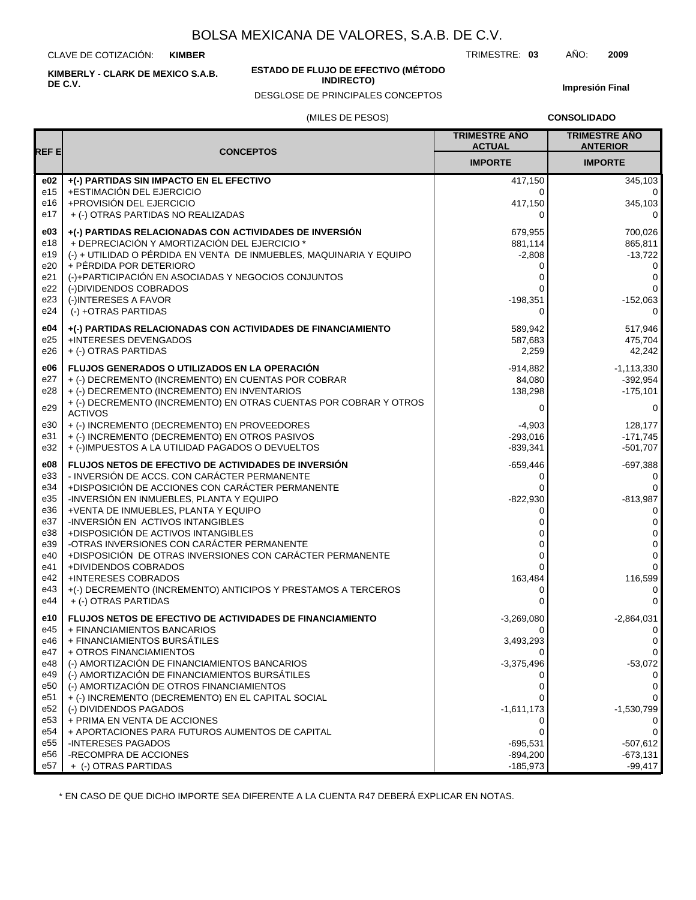CLAVE DE COTIZACIÓN: **KIMBER**

**KIMBERLY - CLARK DE MEXICO S.A.B. DE C.V.**

#### **ESTADO DE FLUJO DE EFECTIVO (MÉTODO INDIRECTO)**

DESGLOSE DE PRINCIPALES CONCEPTOS

TRIMESTRE: **03** AÑO: **2009**

**Impresión Final**

#### (MILES DE PESOS)

**CONSOLIDADO**

|                 |                                                                                                         | <b>TRIMESTRE AÑO</b><br><b>ACTUAL</b> | <b>TRIMESTRE AÑO</b><br><b>ANTERIOR</b> |
|-----------------|---------------------------------------------------------------------------------------------------------|---------------------------------------|-----------------------------------------|
| REF E           | <b>CONCEPTOS</b>                                                                                        | <b>IMPORTE</b>                        | <b>IMPORTE</b>                          |
| e02             | +(-) PARTIDAS SIN IMPACTO EN EL EFECTIVO                                                                | 417,150                               | 345,103                                 |
| e15             | +ESTIMACIÓN DEL EJERCICIO                                                                               | 0                                     | $\Omega$                                |
| e16             | +PROVISIÓN DEL EJERCICIO                                                                                | 417,150                               | 345,103                                 |
| e17             | + (-) OTRAS PARTIDAS NO REALIZADAS                                                                      | 0                                     | 0                                       |
| e03             | +(-) PARTIDAS RELACIONADAS CON ACTIVIDADES DE INVERSIÓN                                                 | 679,955                               | 700,026                                 |
| e18             | + DEPRECIACIÓN Y AMORTIZACIÓN DEL EJERCICIO *                                                           | 881,114                               | 865,811                                 |
| e19             | (-) + UTILIDAD O PÉRDIDA EN VENTA DE INMUEBLES, MAQUINARIA Y EQUIPO                                     | $-2,808$                              | $-13,722$                               |
| e20             | + PÉRDIDA POR DETERIORO                                                                                 | 0                                     | 0                                       |
| e21             | (-)+PARTICIPACIÓN EN ASOCIADAS Y NEGOCIOS CONJUNTOS                                                     | 0                                     | 0                                       |
| e22             | (-)DIVIDENDOS COBRADOS                                                                                  | 0                                     | 0                                       |
| e23             | (-)INTERESES A FAVOR                                                                                    | $-198,351$                            | $-152,063$                              |
| e24             | (-) +OTRAS PARTIDAS                                                                                     | 0                                     | 0                                       |
| e04             | +(-) PARTIDAS RELACIONADAS CON ACTIVIDADES DE FINANCIAMIENTO                                            | 589,942                               | 517,946                                 |
| e25             | +INTERESES DEVENGADOS                                                                                   | 587,683                               | 475,704                                 |
| e26             | + (-) OTRAS PARTIDAS                                                                                    | 2,259                                 | 42,242                                  |
| e06             | <b>FLUJOS GENERADOS O UTILIZADOS EN LA OPERACIÓN</b>                                                    | $-914,882$                            | $-1,113,330$                            |
| e27             | + (-) DECREMENTO (INCREMENTO) EN CUENTAS POR COBRAR                                                     | 84,080                                | $-392,954$                              |
| e28             | + (-) DECREMENTO (INCREMENTO) EN INVENTARIOS                                                            | 138,298                               | $-175,101$                              |
| e29             | + (-) DECREMENTO (INCREMENTO) EN OTRAS CUENTAS POR COBRAR Y OTROS<br><b>ACTIVOS</b>                     | 0                                     | 0                                       |
| e30             | + (-) INCREMENTO (DECREMENTO) EN PROVEEDORES                                                            | $-4,903$                              | 128,177                                 |
| e31             | + (-) INCREMENTO (DECREMENTO) EN OTROS PASIVOS                                                          | $-293,016$                            | $-171,745$                              |
| e32             | + (-)IMPUESTOS A LA UTILIDAD PAGADOS O DEVUELTOS                                                        | $-839,341$                            | -501,707                                |
| e08             | FLUJOS NETOS DE EFECTIVO DE ACTIVIDADES DE INVERSIÓN                                                    | $-659,446$                            | $-697,388$                              |
| e33             | - INVERSIÓN DE ACCS. CON CARÁCTER PERMANENTE                                                            | 0                                     | 0                                       |
| e34             | +DISPOSICIÓN DE ACCIONES CON CARÁCTER PERMANENTE                                                        | 0                                     | 0                                       |
| e35             | -INVERSIÓN EN INMUEBLES, PLANTA Y EQUIPO                                                                | $-822,930$                            | $-813,987$                              |
| e36             | +VENTA DE INMUEBLES, PLANTA Y EQUIPO                                                                    | 0                                     | 0                                       |
| e37             | -INVERSIÓN EN ACTIVOS INTANGIBLES                                                                       | 0                                     | 0                                       |
| e38<br>e39      | +DISPOSICIÓN DE ACTIVOS INTANGIBLES                                                                     | 0                                     | 0                                       |
| e40             | -OTRAS INVERSIONES CON CARÁCTER PERMANENTE<br>+DISPOSICIÓN DE OTRAS INVERSIONES CON CARÁCTER PERMANENTE | 0<br>0                                | 0<br>0                                  |
| e41             | +DIVIDENDOS COBRADOS                                                                                    | 0                                     | 0                                       |
| e42             | +INTERESES COBRADOS                                                                                     | 163,484                               | 116,599                                 |
| e43             | +(-) DECREMENTO (INCREMENTO) ANTICIPOS Y PRESTAMOS A TERCEROS                                           | 0                                     | 0                                       |
| e44             | + (-) OTRAS PARTIDAS                                                                                    | 0                                     | $\Omega$                                |
| e10             | <b>FLUJOS NETOS DE EFECTIVO DE ACTIVIDADES DE FINANCIAMIENTO</b>                                        | $-3,269,080$                          | $-2,864,031$                            |
| e45             | + FINANCIAMIENTOS BANCARIOS                                                                             | 0                                     | 0                                       |
| e46             | + FINANCIAMIENTOS BURSÁTILES                                                                            | 3,493,293                             | $\mathbf 0$                             |
| e47             | + OTROS FINANCIAMIENTOS                                                                                 |                                       | 0                                       |
| e48             | (-) AMORTIZACIÓN DE FINANCIAMIENTOS BANCARIOS                                                           | $-3,375,496$                          | $-53,072$<br>$\Omega$                   |
| e49<br>e50      | (-) AMORTIZACIÓN DE FINANCIAMIENTOS BURSÁTILES<br>(-) AMORTIZACIÓN DE OTROS FINANCIAMIENTOS             | 0                                     | 0                                       |
| e51             | + (-) INCREMENTO (DECREMENTO) EN EL CAPITAL SOCIAL                                                      | 0                                     | 0                                       |
| e52             | (-) DIVIDENDOS PAGADOS                                                                                  | $-1,611,173$                          | $-1,530,799$                            |
| e <sub>53</sub> | + PRIMA EN VENTA DE ACCIONES                                                                            | 0                                     | 0                                       |
| e54             | + APORTACIONES PARA FUTUROS AUMENTOS DE CAPITAL                                                         | 0                                     | 0                                       |
| e <sub>55</sub> | -INTERESES PAGADOS                                                                                      | $-695,531$                            | $-507,612$                              |
| e56             | -RECOMPRA DE ACCIONES                                                                                   | $-894,200$                            | $-673,131$                              |
| e57             | + (-) OTRAS PARTIDAS                                                                                    | $-185,973$                            | $-99,417$                               |

\* EN CASO DE QUE DICHO IMPORTE SEA DIFERENTE A LA CUENTA R47 DEBERÁ EXPLICAR EN NOTAS.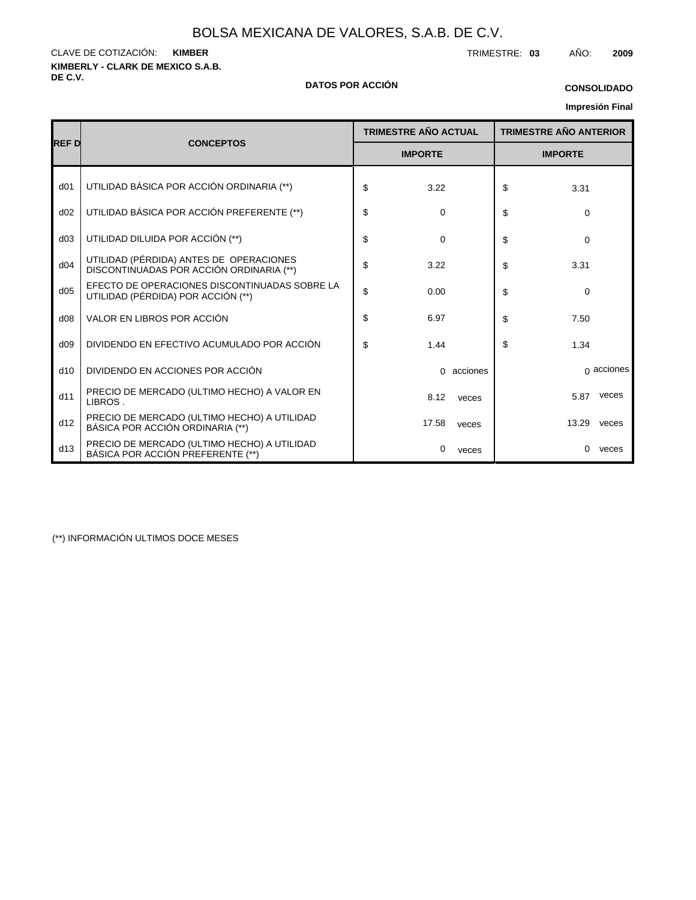**KIMBERLY - CLARK DE MEXICO S.A.B.** CLAVE DE COTIZACIÓN: TRIMESTRE: **03** AÑO: **2009 KIMBER**

#### **DE C.V. DATOS POR ACCIÓN**

## **CONSOLIDADO**

**Impresión Final**

|                 |                                                                                     |                      |                |                               |          | <b>IIIIpresiuli Filiai</b> |  |
|-----------------|-------------------------------------------------------------------------------------|----------------------|----------------|-------------------------------|----------|----------------------------|--|
|                 |                                                                                     | TRIMESTRE AÑO ACTUAL |                | <b>TRIMESTRE AÑO ANTERIOR</b> |          |                            |  |
| <b>REF D</b>    | <b>CONCEPTOS</b>                                                                    | <b>IMPORTE</b>       | <b>IMPORTE</b> |                               |          |                            |  |
| d <sub>01</sub> | UTILIDAD BÁSICA POR ACCIÓN ORDINARIA (**)                                           | \$<br>3.22           |                | \$                            | 3.31     |                            |  |
| d02             | UTILIDAD BÁSICA POR ACCIÓN PREFERENTE (**)                                          | \$<br>$\mathbf 0$    |                | \$                            | $\Omega$ |                            |  |
| d03             | UTILIDAD DILUIDA POR ACCIÓN (**)                                                    | \$<br>0              |                | \$                            | $\Omega$ |                            |  |
| d04             | UTILIDAD (PÉRDIDA) ANTES DE OPERACIONES<br>DISCONTINUADAS POR ACCIÓN ORDINARIA (**) | \$<br>3.22           |                | \$                            | 3.31     |                            |  |
| d05             | EFECTO DE OPERACIONES DISCONTINUADAS SOBRE LA<br>UTILIDAD (PÉRDIDA) POR ACCIÓN (**) | \$<br>0.00           |                | \$                            | $\Omega$ |                            |  |
| d08             | VALOR EN LIBROS POR ACCIÓN                                                          | \$<br>6.97           |                | \$                            | 7.50     |                            |  |
| d09             | DIVIDENDO EN EFECTIVO ACUMULADO POR ACCIÓN                                          | \$<br>1.44           |                | \$                            | 1.34     |                            |  |
| d10             | DIVIDENDO EN ACCIONES POR ACCIÓN                                                    | $\Omega$             | acciones       |                               |          | $\alpha$ acciones          |  |
| d11             | PRECIO DE MERCADO (ULTIMO HECHO) A VALOR EN<br>LIBROS.                              | 8.12                 | veces          |                               | 5.87     | veces                      |  |
| d12             | PRECIO DE MERCADO (ULTIMO HECHO) A UTILIDAD<br>BÁSICA POR ACCIÓN ORDINARIA (**)     | 17.58<br>veces       |                |                               | 13.29    | veces                      |  |
| d13             | PRECIO DE MERCADO (ULTIMO HECHO) A UTILIDAD<br>BÁSICA POR ACCIÓN PREFERENTE (**)    | 0                    | veces          |                               | $\Omega$ | veces                      |  |

(\*\*) INFORMACIÓN ULTIMOS DOCE MESES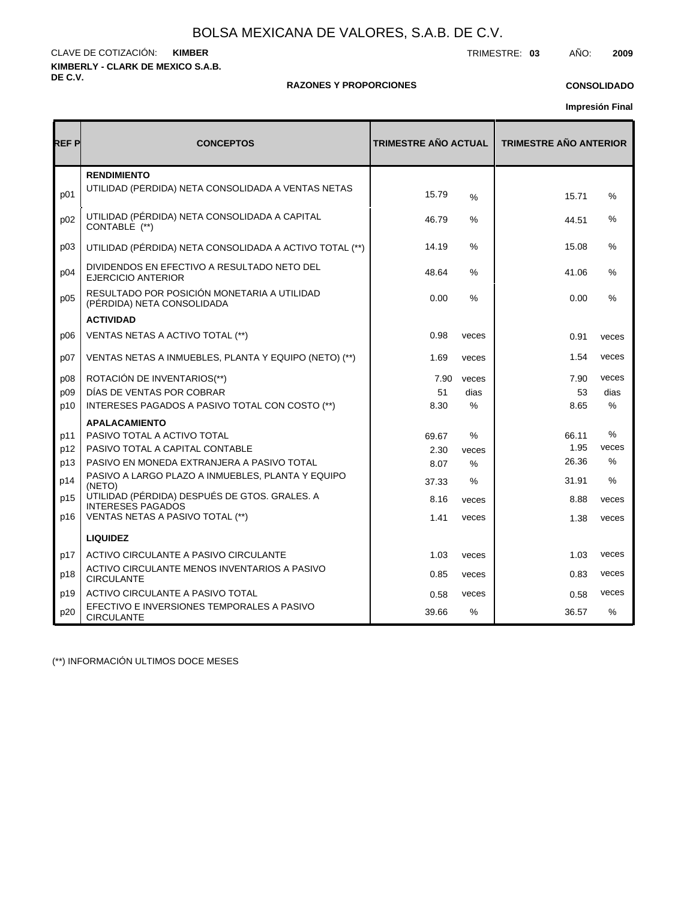**KIMBERLY - CLARK DE MEXICO S.A.B. DE C.V.** CLAVE DE COTIZACIÓN: TRIMESTRE: **03** AÑO: **2009 KIMBER**

#### **RAZONES Y PROPORCIONES**

### **CONSOLIDADO**

**Impresión Final**

| REF P | <b>CONCEPTOS</b>                                                          | <b>TRIMESTRE AÑO ACTUAL</b> |               | <b>TRIMESTRE AÑO ANTERIOR</b> |               |  |  |
|-------|---------------------------------------------------------------------------|-----------------------------|---------------|-------------------------------|---------------|--|--|
| p01   | <b>RENDIMIENTO</b><br>UTILIDAD (PERDIDA) NETA CONSOLIDADA A VENTAS NETAS  | 15.79                       | $\frac{9}{6}$ | 15.71                         | $\%$          |  |  |
| p02   | UTILIDAD (PÉRDIDA) NETA CONSOLIDADA A CAPITAL<br>CONTABLE (**)            | 46.79                       | ℅             | 44.51                         | %             |  |  |
| p03   | UTILIDAD (PÉRDIDA) NETA CONSOLIDADA A ACTIVO TOTAL (**)                   | 14.19                       | $\%$          | 15.08                         | %             |  |  |
| p04   | DIVIDENDOS EN EFECTIVO A RESULTADO NETO DEL<br><b>EJERCICIO ANTERIOR</b>  | 48.64                       | $\%$          | 41.06                         | %             |  |  |
| p05   | RESULTADO POR POSICIÓN MONETARIA A UTILIDAD<br>(PÉRDIDA) NETA CONSOLIDADA | 0.00                        | $\frac{0}{0}$ | 0.00                          | $\%$          |  |  |
|       | <b>ACTIVIDAD</b>                                                          |                             |               |                               |               |  |  |
| p06   | VENTAS NETAS A ACTIVO TOTAL (**)                                          | 0.98                        | veces         | 0.91                          | veces         |  |  |
| p07   | VENTAS NETAS A INMUEBLES, PLANTA Y EQUIPO (NETO) (**)                     | 1.69                        | veces         | 1.54                          | veces         |  |  |
| p08   | ROTACIÓN DE INVENTARIOS(**)                                               | 7.90                        | veces         | 7.90                          | veces         |  |  |
| p09   | DÍAS DE VENTAS POR COBRAR                                                 | 51                          | dias          | 53                            | dias          |  |  |
| p10   | INTERESES PAGADOS A PASIVO TOTAL CON COSTO (**)                           | 8.30                        | ℅             | 8.65                          | %             |  |  |
|       | <b>APALACAMIENTO</b>                                                      |                             |               |                               |               |  |  |
| p11   | PASIVO TOTAL A ACTIVO TOTAL                                               | 69.67                       | $\%$          | 66.11                         | $\frac{9}{6}$ |  |  |
| p12   | PASIVO TOTAL A CAPITAL CONTABLE                                           | 2.30                        | veces         | 1.95                          | veces         |  |  |
| p13   | PASIVO EN MONEDA EXTRANJERA A PASIVO TOTAL                                | 8.07                        | $\%$          | 26.36                         | $\%$          |  |  |
| p14   | PASIVO A LARGO PLAZO A INMUEBLES, PLANTA Y EQUIPO<br>(NETO)               | 37.33                       | $\%$          | 31.91                         | $\frac{0}{0}$ |  |  |
| p15   | UTILIDAD (PÉRDIDA) DESPUÉS DE GTOS. GRALES. A<br><b>INTERESES PAGADOS</b> | 8.16                        | veces         | 8.88                          | veces         |  |  |
| p16   | VENTAS NETAS A PASIVO TOTAL (**)                                          | 1.41                        | veces         | 1.38                          | veces         |  |  |
|       | <b>LIQUIDEZ</b>                                                           |                             |               |                               |               |  |  |
| p17   | ACTIVO CIRCULANTE A PASIVO CIRCULANTE                                     | 1.03                        | veces         | 1.03                          | veces         |  |  |
| p18   | ACTIVO CIRCULANTE MENOS INVENTARIOS A PASIVO<br><b>CIRCULANTE</b>         | 0.85                        | veces         | 0.83                          | veces         |  |  |
| p19   | ACTIVO CIRCULANTE A PASIVO TOTAL                                          | 0.58                        | veces         | 0.58                          | veces         |  |  |
| p20   | EFECTIVO E INVERSIONES TEMPORALES A PASIVO<br><b>CIRCULANTE</b>           | 39.66                       | %             | 36.57                         | $\frac{9}{6}$ |  |  |

(\*\*) INFORMACIÓN ULTIMOS DOCE MESES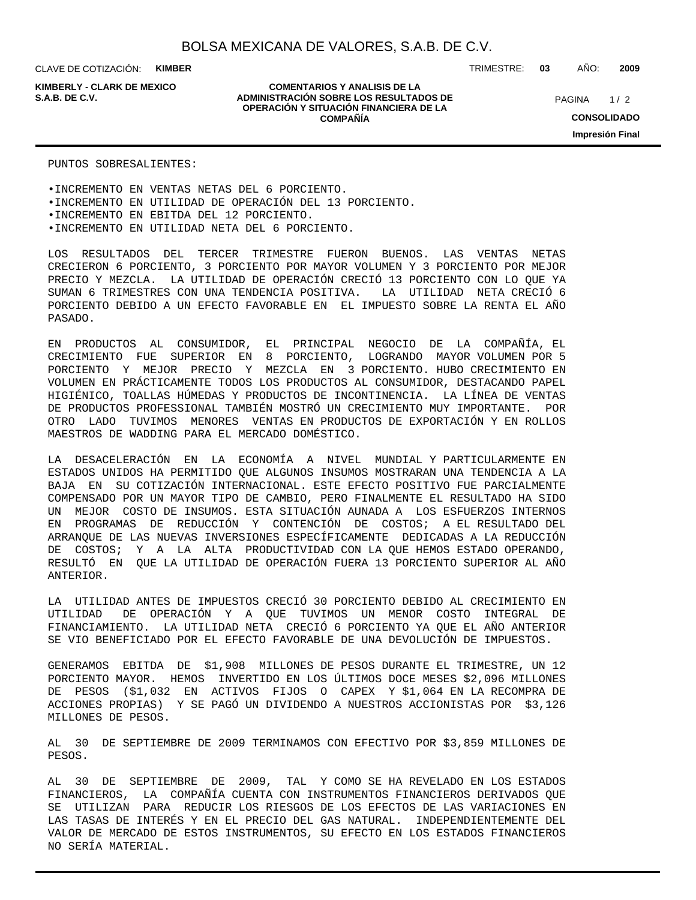CLAVE DE COTIZACIÓN: **KIMBER**

**KIMBERLY - CLARK DE MEXICO**

**COMENTARIOS Y ANALISIS DE LA ADMINISTRACIÓN SOBRE LOS RESULTADOS DE S.A.B. DE C.V.** PAGINA / 2 **OPERACIÓN Y SITUACIÓN FINANCIERA DE LA COMPAÑÍA**

TRIMESTRE: **03** AÑO: **2009**

 $1/2$ **CONSOLIDADO Impresión Final**

PUNTOS SOBRESALIENTES:

•INCREMENTO EN VENTAS NETAS DEL 6 PORCIENTO. •INCREMENTO EN UTILIDAD DE OPERACIÓN DEL 13 PORCIENTO. •INCREMENTO EN EBITDA DEL 12 PORCIENTO. •INCREMENTO EN UTILIDAD NETA DEL 6 PORCIENTO.

LOS RESULTADOS DEL TERCER TRIMESTRE FUERON BUENOS. LAS VENTAS NETAS CRECIERON 6 PORCIENTO, 3 PORCIENTO POR MAYOR VOLUMEN Y 3 PORCIENTO POR MEJOR PRECIO Y MEZCLA. LA UTILIDAD DE OPERACIÓN CRECIÓ 13 PORCIENTO CON LO QUE YA SUMAN 6 TRIMESTRES CON UNA TENDENCIA POSITIVA. LA UTILIDAD NETA CRECIÓ 6 PORCIENTO DEBIDO A UN EFECTO FAVORABLE EN EL IMPUESTO SOBRE LA RENTA EL AÑO PASADO.

EN PRODUCTOS AL CONSUMIDOR, EL PRINCIPAL NEGOCIO DE LA COMPAÑÍA, EL CRECIMIENTO FUE SUPERIOR EN 8 PORCIENTO, LOGRANDO MAYOR VOLUMEN POR 5 PORCIENTO Y MEJOR PRECIO Y MEZCLA EN 3 PORCIENTO. HUBO CRECIMIENTO EN VOLUMEN EN PRÁCTICAMENTE TODOS LOS PRODUCTOS AL CONSUMIDOR, DESTACANDO PAPEL HIGIÉNICO, TOALLAS HÚMEDAS Y PRODUCTOS DE INCONTINENCIA. LA LÍNEA DE VENTAS DE PRODUCTOS PROFESSIONAL TAMBIÉN MOSTRÓ UN CRECIMIENTO MUY IMPORTANTE. POR OTRO LADO TUVIMOS MENORES VENTAS EN PRODUCTOS DE EXPORTACIÓN Y EN ROLLOS MAESTROS DE WADDING PARA EL MERCADO DOMÉSTICO.

LA DESACELERACIÓN EN LA ECONOMÍA A NIVEL MUNDIAL Y PARTICULARMENTE EN ESTADOS UNIDOS HA PERMITIDO QUE ALGUNOS INSUMOS MOSTRARAN UNA TENDENCIA A LA BAJA EN SU COTIZACIÓN INTERNACIONAL. ESTE EFECTO POSITIVO FUE PARCIALMENTE COMPENSADO POR UN MAYOR TIPO DE CAMBIO, PERO FINALMENTE EL RESULTADO HA SIDO UN MEJOR COSTO DE INSUMOS. ESTA SITUACIÓN AUNADA A LOS ESFUERZOS INTERNOS EN PROGRAMAS DE REDUCCIÓN Y CONTENCIÓN DE COSTOS; A EL RESULTADO DEL ARRANQUE DE LAS NUEVAS INVERSIONES ESPECÍFICAMENTE DEDICADAS A LA REDUCCIÓN DE COSTOS; Y A LA ALTA PRODUCTIVIDAD CON LA QUE HEMOS ESTADO OPERANDO, RESULTÓ EN QUE LA UTILIDAD DE OPERACIÓN FUERA 13 PORCIENTO SUPERIOR AL AÑO ANTERIOR.

LA UTILIDAD ANTES DE IMPUESTOS CRECIÓ 30 PORCIENTO DEBIDO AL CRECIMIENTO EN UTILIDAD DE OPERACIÓN Y A QUE TUVIMOS UN MENOR COSTO INTEGRAL DE FINANCIAMIENTO. LA UTILIDAD NETA CRECIÓ 6 PORCIENTO YA QUE EL AÑO ANTERIOR SE VIO BENEFICIADO POR EL EFECTO FAVORABLE DE UNA DEVOLUCIÓN DE IMPUESTOS.

GENERAMOS EBITDA DE \$1,908 MILLONES DE PESOS DURANTE EL TRIMESTRE, UN 12 PORCIENTO MAYOR. HEMOS INVERTIDO EN LOS ÚLTIMOS DOCE MESES \$2,096 MILLONES DE PESOS (\$1,032 EN ACTIVOS FIJOS O CAPEX Y \$1,064 EN LA RECOMPRA DE ACCIONES PROPIAS) Y SE PAGÓ UN DIVIDENDO A NUESTROS ACCIONISTAS POR \$3,126 MILLONES DE PESOS.

AL 30 DE SEPTIEMBRE DE 2009 TERMINAMOS CON EFECTIVO POR \$3,859 MILLONES DE PESOS.

AL 30 DE SEPTIEMBRE DE 2009, TAL Y COMO SE HA REVELADO EN LOS ESTADOS FINANCIEROS, LA COMPAÑÍA CUENTA CON INSTRUMENTOS FINANCIEROS DERIVADOS QUE SE UTILIZAN PARA REDUCIR LOS RIESGOS DE LOS EFECTOS DE LAS VARIACIONES EN LAS TASAS DE INTERÉS Y EN EL PRECIO DEL GAS NATURAL. INDEPENDIENTEMENTE DEL VALOR DE MERCADO DE ESTOS INSTRUMENTOS, SU EFECTO EN LOS ESTADOS FINANCIEROS NO SERÍA MATERIAL.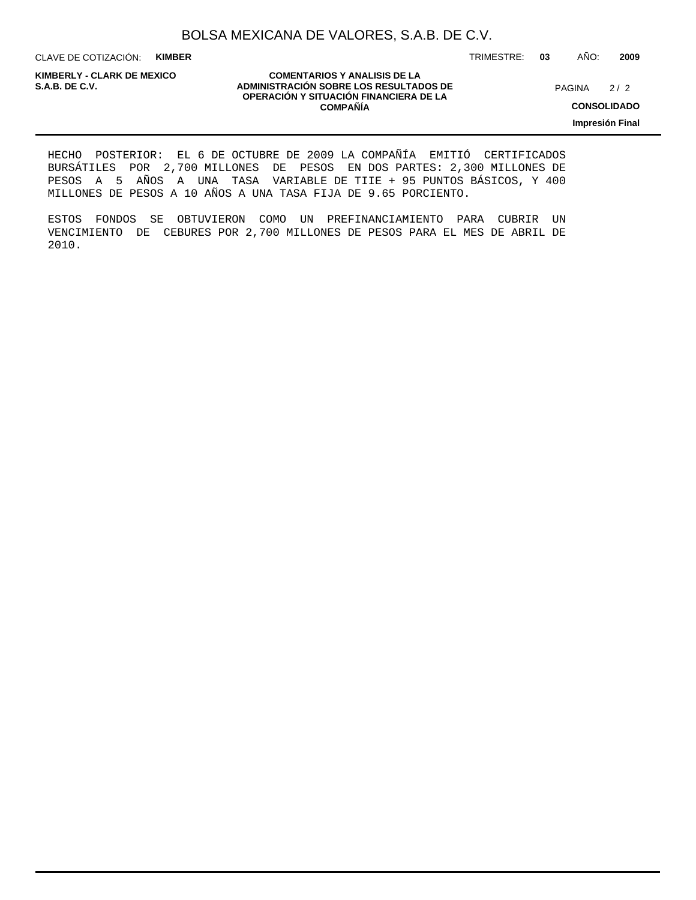CLAVE DE COTIZACIÓN: **KIMBER**

**KIMBERLY - CLARK DE MEXICO**

#### **COMENTARIOS Y ANALISIS DE LA ADMINISTRACIÓN SOBRE LOS RESULTADOS DE PAGINA 2/2 ADMINISTRACIÓN SOBRE LOS RESULTADOS DE** PAGINA 2/2 **OPERACIÓN Y SITUACIÓN FINANCIERA DE LA COMPAÑÍA**

 $2/2$ 

TRIMESTRE: **03** AÑO: **2009**

**CONSOLIDADO**

**Impresión Final**

HECHO POSTERIOR: EL 6 DE OCTUBRE DE 2009 LA COMPAÑÍA EMITIÓ CERTIFICADOS BURSÁTILES POR 2,700 MILLONES DE PESOS EN DOS PARTES: 2,300 MILLONES DE PESOS A 5 AÑOS A UNA TASA VARIABLE DE TIIE + 95 PUNTOS BÁSICOS, Y 400 MILLONES DE PESOS A 10 AÑOS A UNA TASA FIJA DE 9.65 PORCIENTO.

ESTOS FONDOS SE OBTUVIERON COMO UN PREFINANCIAMIENTO PARA CUBRIR UN VENCIMIENTO DE CEBURES POR 2,700 MILLONES DE PESOS PARA EL MES DE ABRIL DE 2010.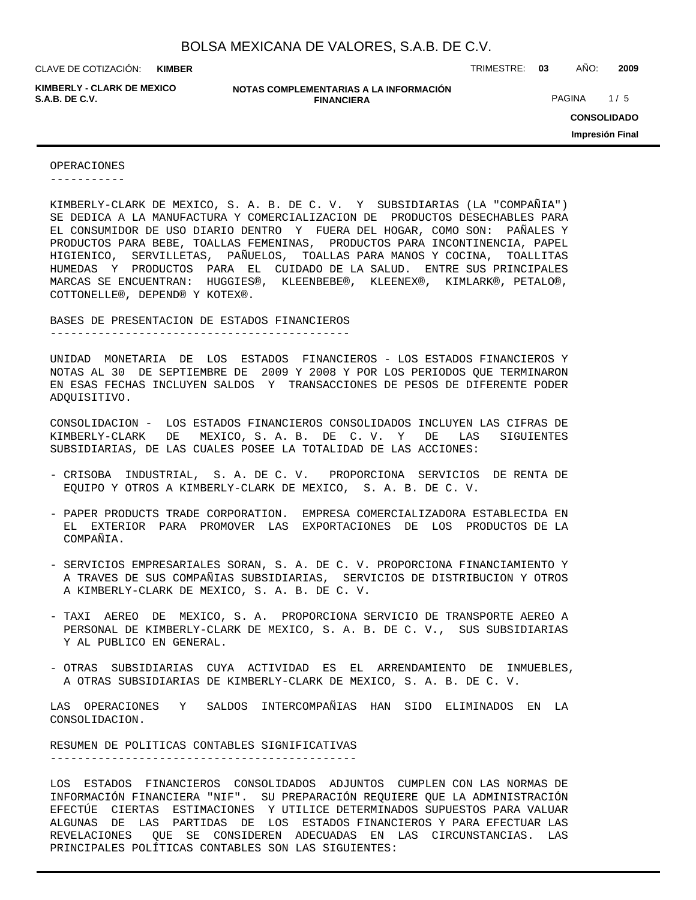**KIMBER**

**KIMBERLY - CLARK DE MEXICO**

**NOTAS COMPLEMENTARIAS A LA INFORMACIÓN FINANCIERA S.A.B. DE C.V.** PAGINA 1/5

CLAVE DE COTIZACIÓN: TRIMESTRE: **03** AÑO: **2009**

**CONSOLIDADO Impresión Final**

#### OPERACIONES

-----------

KIMBERLY-CLARK DE MEXICO, S. A. B. DE C. V. Y SUBSIDIARIAS (LA "COMPAÑIA") SE DEDICA A LA MANUFACTURA Y COMERCIALIZACION DE PRODUCTOS DESECHABLES PARA EL CONSUMIDOR DE USO DIARIO DENTRO Y FUERA DEL HOGAR, COMO SON: PAÑALES Y PRODUCTOS PARA BEBE, TOALLAS FEMENINAS, PRODUCTOS PARA INCONTINENCIA, PAPEL HIGIENICO, SERVILLETAS, PAÑUELOS, TOALLAS PARA MANOS Y COCINA, TOALLITAS HUMEDAS Y PRODUCTOS PARA EL CUIDADO DE LA SALUD. ENTRE SUS PRINCIPALES MARCAS SE ENCUENTRAN: HUGGIES®, KLEENBEBE®, KLEENEX®, KIMLARK®, PETALO®, COTTONELLE®, DEPEND® Y KOTEX®.

BASES DE PRESENTACION DE ESTADOS FINANCIEROS

--------------------------------------------

UNIDAD MONETARIA DE LOS ESTADOS FINANCIEROS - LOS ESTADOS FINANCIEROS Y NOTAS AL 30 DE SEPTIEMBRE DE 2009 Y 2008 Y POR LOS PERIODOS QUE TERMINARON EN ESAS FECHAS INCLUYEN SALDOS Y TRANSACCIONES DE PESOS DE DIFERENTE PODER ADQUISITIVO.

CONSOLIDACION - LOS ESTADOS FINANCIEROS CONSOLIDADOS INCLUYEN LAS CIFRAS DE KIMBERLY-CLARK DE MEXICO, S. A. B. DE C. V. Y DE LAS SIGUIENTES SUBSIDIARIAS, DE LAS CUALES POSEE LA TOTALIDAD DE LAS ACCIONES:

- CRISOBA INDUSTRIAL, S. A. DE C. V. PROPORCIONA SERVICIOS DE RENTA DE EQUIPO Y OTROS A KIMBERLY-CLARK DE MEXICO, S. A. B. DE C. V.
- PAPER PRODUCTS TRADE CORPORATION. EMPRESA COMERCIALIZADORA ESTABLECIDA EN EL EXTERIOR PARA PROMOVER LAS EXPORTACIONES DE LOS PRODUCTOS DE LA COMPAÑIA.
- SERVICIOS EMPRESARIALES SORAN, S. A. DE C. V. PROPORCIONA FINANCIAMIENTO Y A TRAVES DE SUS COMPAÑIAS SUBSIDIARIAS, SERVICIOS DE DISTRIBUCION Y OTROS A KIMBERLY-CLARK DE MEXICO, S. A. B. DE C. V.
- TAXI AEREO DE MEXICO, S. A. PROPORCIONA SERVICIO DE TRANSPORTE AEREO A PERSONAL DE KIMBERLY-CLARK DE MEXICO, S. A. B. DE C. V., SUS SUBSIDIARIAS Y AL PUBLICO EN GENERAL.
- OTRAS SUBSIDIARIAS CUYA ACTIVIDAD ES EL ARRENDAMIENTO DE INMUEBLES, A OTRAS SUBSIDIARIAS DE KIMBERLY-CLARK DE MEXICO, S. A. B. DE C. V.

LAS OPERACIONES Y SALDOS INTERCOMPAÑIAS HAN SIDO ELIMINADOS EN LA CONSOLIDACION.

RESUMEN DE POLITICAS CONTABLES SIGNIFICATIVAS ---------------------------------------------

LOS ESTADOS FINANCIEROS CONSOLIDADOS ADJUNTOS CUMPLEN CON LAS NORMAS DE INFORMACIÓN FINANCIERA "NIF". SU PREPARACIÓN REQUIERE QUE LA ADMINISTRACIÓN EFECTÚE CIERTAS ESTIMACIONES Y UTILICE DETERMINADOS SUPUESTOS PARA VALUAR ALGUNAS DE LAS PARTIDAS DE LOS ESTADOS FINANCIEROS Y PARA EFECTUAR LAS REVELACIONES QUE SE CONSIDEREN ADECUADAS EN LAS CIRCUNSTANCIAS. LAS PRINCIPALES POLÍTICAS CONTABLES SON LAS SIGUIENTES: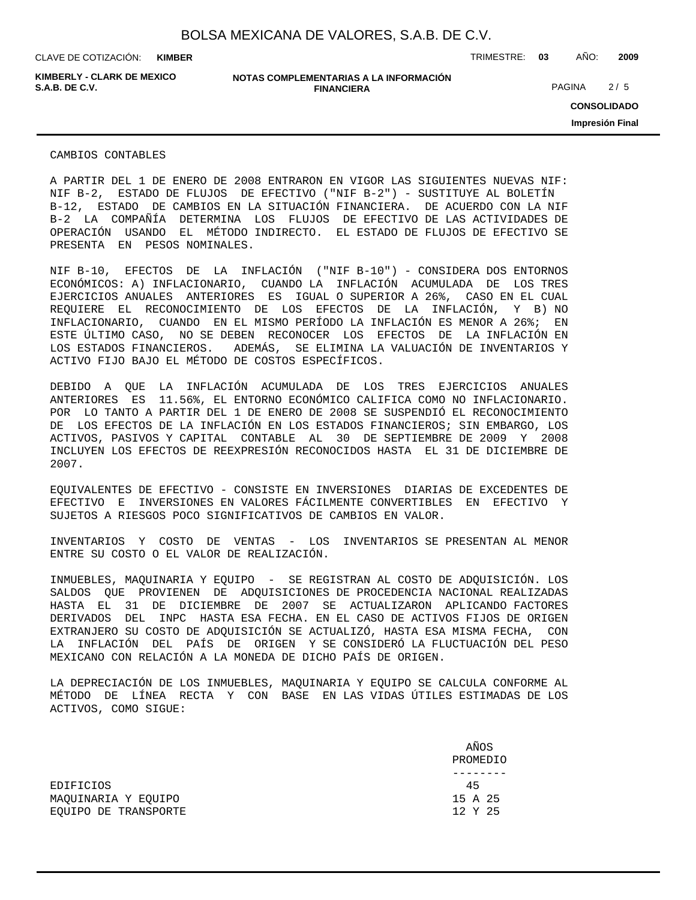**KIMBER**

CLAVE DE COTIZACIÓN: TRIMESTRE: **03** AÑO: **2009**

**KIMBERLY - CLARK DE MEXICO**

**NOTAS COMPLEMENTARIAS A LA INFORMACIÓN FINANCIERA S.A.B. DE C.V.** PAGINA 2 / 5

**CONSOLIDADO Impresión Final**

CAMBIOS CONTABLES

A PARTIR DEL 1 DE ENERO DE 2008 ENTRARON EN VIGOR LAS SIGUIENTES NUEVAS NIF: NIF B-2, ESTADO DE FLUJOS DE EFECTIVO ("NIF B-2") - SUSTITUYE AL BOLETÍN B-12, ESTADO DE CAMBIOS EN LA SITUACIÓN FINANCIERA. DE ACUERDO CON LA NIF B-2 LA COMPAÑÍA DETERMINA LOS FLUJOS DE EFECTIVO DE LAS ACTIVIDADES DE OPERACIÓN USANDO EL MÉTODO INDIRECTO. EL ESTADO DE FLUJOS DE EFECTIVO SE PRESENTA EN PESOS NOMINALES.

NIF B-10, EFECTOS DE LA INFLACIÓN ("NIF B-10") - CONSIDERA DOS ENTORNOS ECONÓMICOS: A) INFLACIONARIO, CUANDO LA INFLACIÓN ACUMULADA DE LOS TRES EJERCICIOS ANUALES ANTERIORES ES IGUAL O SUPERIOR A 26%, CASO EN EL CUAL REQUIERE EL RECONOCIMIENTO DE LOS EFECTOS DE LA INFLACIÓN, Y B) NO INFLACIONARIO, CUANDO EN EL MISMO PERÍODO LA INFLACIÓN ES MENOR A 26%; EN ESTE ÚLTIMO CASO, NO SE DEBEN RECONOCER LOS EFECTOS DE LA INFLACIÓN EN LOS ESTADOS FINANCIEROS. ADEMÁS, SE ELIMINA LA VALUACIÓN DE INVENTARIOS Y ACTIVO FIJO BAJO EL MÉTODO DE COSTOS ESPECÍFICOS.

DEBIDO A QUE LA INFLACIÓN ACUMULADA DE LOS TRES EJERCICIOS ANUALES ANTERIORES ES 11.56%, EL ENTORNO ECONÓMICO CALIFICA COMO NO INFLACIONARIO. POR LO TANTO A PARTIR DEL 1 DE ENERO DE 2008 SE SUSPENDIÓ EL RECONOCIMIENTO DE LOS EFECTOS DE LA INFLACIÓN EN LOS ESTADOS FINANCIEROS; SIN EMBARGO, LOS ACTIVOS, PASIVOS Y CAPITAL CONTABLE AL 30 DE SEPTIEMBRE DE 2009 Y 2008 INCLUYEN LOS EFECTOS DE REEXPRESIÓN RECONOCIDOS HASTA EL 31 DE DICIEMBRE DE 2007.

EQUIVALENTES DE EFECTIVO - CONSISTE EN INVERSIONES DIARIAS DE EXCEDENTES DE EFECTIVO E INVERSIONES EN VALORES FÁCILMENTE CONVERTIBLES EN EFECTIVO Y SUJETOS A RIESGOS POCO SIGNIFICATIVOS DE CAMBIOS EN VALOR.

INVENTARIOS Y COSTO DE VENTAS - LOS INVENTARIOS SE PRESENTAN AL MENOR ENTRE SU COSTO O EL VALOR DE REALIZACIÓN.

INMUEBLES, MAQUINARIA Y EQUIPO - SE REGISTRAN AL COSTO DE ADQUISICIÓN. LOS SALDOS QUE PROVIENEN DE ADQUISICIONES DE PROCEDENCIA NACIONAL REALIZADAS HASTA EL 31 DE DICIEMBRE DE 2007 SE ACTUALIZARON APLICANDO FACTORES DERIVADOS DEL INPC HASTA ESA FECHA. EN EL CASO DE ACTIVOS FIJOS DE ORIGEN EXTRANJERO SU COSTO DE ADQUISICIÓN SE ACTUALIZÓ, HASTA ESA MISMA FECHA, CON LA INFLACIÓN DEL PAÍS DE ORIGEN Y SE CONSIDERÓ LA FLUCTUACIÓN DEL PESO MEXICANO CON RELACIÓN A LA MONEDA DE DICHO PAÍS DE ORIGEN.

LA DEPRECIACIÓN DE LOS INMUEBLES, MAQUINARIA Y EQUIPO SE CALCULA CONFORME AL MÉTODO DE LÍNEA RECTA Y CON BASE EN LAS VIDAS ÚTILES ESTIMADAS DE LOS ACTIVOS, COMO SIGUE:

|                      | AÑOS     |
|----------------------|----------|
|                      | PROMEDIO |
|                      |          |
| <b>EDIFICIOS</b>     | 45       |
| MAOUINARIA Y EOUIPO  | 15 A 25  |
| EOUIPO DE TRANSPORTE | 12 Y 25  |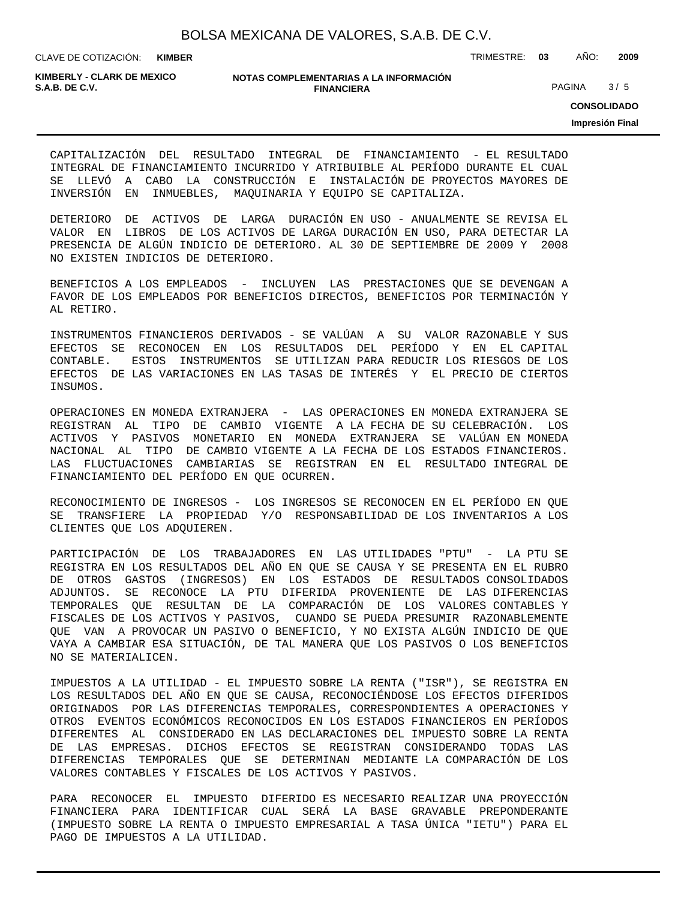**KIMBER**

CLAVE DE COTIZACIÓN: TRIMESTRE: **03** AÑO: **2009**

**KIMBERLY - CLARK DE MEXICO**

#### **NOTAS COMPLEMENTARIAS A LA INFORMACIÓN FINANCIERA S.A.B. DE C.V.** PAGINA 3 / 5

**CONSOLIDADO**

**Impresión Final**

CAPITALIZACIÓN DEL RESULTADO INTEGRAL DE FINANCIAMIENTO - EL RESULTADO INTEGRAL DE FINANCIAMIENTO INCURRIDO Y ATRIBUIBLE AL PERÍODO DURANTE EL CUAL SE LLEVÓ A CABO LA CONSTRUCCIÓN E INSTALACIÓN DE PROYECTOS MAYORES DE INVERSIÓN EN INMUEBLES, MAQUINARIA Y EQUIPO SE CAPITALIZA.

DETERIORO DE ACTIVOS DE LARGA DURACIÓN EN USO - ANUALMENTE SE REVISA EL VALOR EN LIBROS DE LOS ACTIVOS DE LARGA DURACIÓN EN USO, PARA DETECTAR LA PRESENCIA DE ALGÚN INDICIO DE DETERIORO. AL 30 DE SEPTIEMBRE DE 2009 Y 2008 NO EXISTEN INDICIOS DE DETERIORO.

BENEFICIOS A LOS EMPLEADOS - INCLUYEN LAS PRESTACIONES QUE SE DEVENGAN A FAVOR DE LOS EMPLEADOS POR BENEFICIOS DIRECTOS, BENEFICIOS POR TERMINACIÓN Y AL RETIRO.

INSTRUMENTOS FINANCIEROS DERIVADOS - SE VALÚAN A SU VALOR RAZONABLE Y SUS EFECTOS SE RECONOCEN EN LOS RESULTADOS DEL PERÍODO Y EN EL CAPITAL CONTABLE. ESTOS INSTRUMENTOS SE UTILIZAN PARA REDUCIR LOS RIESGOS DE LOS EFECTOS DE LAS VARIACIONES EN LAS TASAS DE INTERÉS Y EL PRECIO DE CIERTOS INSUMOS.

OPERACIONES EN MONEDA EXTRANJERA - LAS OPERACIONES EN MONEDA EXTRANJERA SE REGISTRAN AL TIPO DE CAMBIO VIGENTE A LA FECHA DE SU CELEBRACIÓN. LOS ACTIVOS Y PASIVOS MONETARIO EN MONEDA EXTRANJERA SE VALÚAN EN MONEDA NACIONAL AL TIPO DE CAMBIO VIGENTE A LA FECHA DE LOS ESTADOS FINANCIEROS. LAS FLUCTUACIONES CAMBIARIAS SE REGISTRAN EN EL RESULTADO INTEGRAL DE FINANCIAMIENTO DEL PERÍODO EN QUE OCURREN.

RECONOCIMIENTO DE INGRESOS - LOS INGRESOS SE RECONOCEN EN EL PERÍODO EN QUE SE TRANSFIERE LA PROPIEDAD Y/O RESPONSABILIDAD DE LOS INVENTARIOS A LOS CLIENTES QUE LOS ADQUIEREN.

PARTICIPACIÓN DE LOS TRABAJADORES EN LAS UTILIDADES "PTU" - LA PTU SE REGISTRA EN LOS RESULTADOS DEL AÑO EN QUE SE CAUSA Y SE PRESENTA EN EL RUBRO DE OTROS GASTOS (INGRESOS) EN LOS ESTADOS DE RESULTADOS CONSOLIDADOS ADJUNTOS. SE RECONOCE LA PTU DIFERIDA PROVENIENTE DE LAS DIFERENCIAS TEMPORALES QUE RESULTAN DE LA COMPARACIÓN DE LOS VALORES CONTABLES Y FISCALES DE LOS ACTIVOS Y PASIVOS, CUANDO SE PUEDA PRESUMIR RAZONABLEMENTE QUE VAN A PROVOCAR UN PASIVO O BENEFICIO, Y NO EXISTA ALGÚN INDICIO DE QUE VAYA A CAMBIAR ESA SITUACIÓN, DE TAL MANERA QUE LOS PASIVOS O LOS BENEFICIOS NO SE MATERIALICEN.

IMPUESTOS A LA UTILIDAD - EL IMPUESTO SOBRE LA RENTA ("ISR"), SE REGISTRA EN LOS RESULTADOS DEL AÑO EN QUE SE CAUSA, RECONOCIÉNDOSE LOS EFECTOS DIFERIDOS ORIGINADOS POR LAS DIFERENCIAS TEMPORALES, CORRESPONDIENTES A OPERACIONES Y OTROS EVENTOS ECONÓMICOS RECONOCIDOS EN LOS ESTADOS FINANCIEROS EN PERÍODOS DIFERENTES AL CONSIDERADO EN LAS DECLARACIONES DEL IMPUESTO SOBRE LA RENTA DE LAS EMPRESAS. DICHOS EFECTOS SE REGISTRAN CONSIDERANDO TODAS LAS DIFERENCIAS TEMPORALES QUE SE DETERMINAN MEDIANTE LA COMPARACIÓN DE LOS VALORES CONTABLES Y FISCALES DE LOS ACTIVOS Y PASIVOS.

PARA RECONOCER EL IMPUESTO DIFERIDO ES NECESARIO REALIZAR UNA PROYECCIÓN FINANCIERA PARA IDENTIFICAR CUAL SERÁ LA BASE GRAVABLE PREPONDERANTE (IMPUESTO SOBRE LA RENTA O IMPUESTO EMPRESARIAL A TASA ÚNICA "IETU") PARA EL PAGO DE IMPUESTOS A LA UTILIDAD.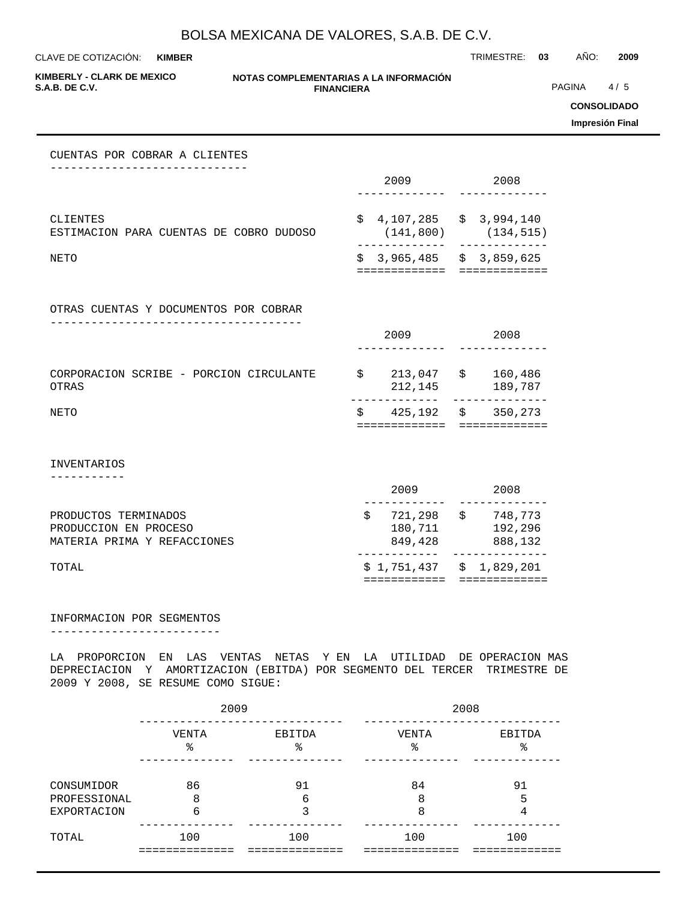CLAVE DE COTIZACIÓN: TRIMESTRE: **03** AÑO: **2009 KIMBER**

**KIMBERLY - CLARK DE MEXICO**

#### **NOTAS COMPLEMENTARIAS A LA INFORMACIÓN FINANCIERA S.A.B. DE C.V.** PAGINA 4 / 5

**CONSOLIDADO**

**Impresión Final**

#### CUENTAS POR COBRAR A CLIENTES -----------------------------

|                                                     | 2009 |                           |  | 2008                      |
|-----------------------------------------------------|------|---------------------------|--|---------------------------|
|                                                     |      |                           |  |                           |
| CLIENTES<br>ESTIMACION PARA CUENTAS DE COBRO DUDOSO |      | $$4,107,285$ $$3,994,140$ |  | $(141, 800)$ $(134, 515)$ |
| NETO                                                |      | $$3,965,485 \t$3,859,625$ |  |                           |

OTRAS CUENTAS Y DOCUMENTOS POR COBRAR -------------------------------------

| NETO                                             |  | S | 425,192 \$         |    | 350,273            |
|--------------------------------------------------|--|---|--------------------|----|--------------------|
| CORPORACION SCRIBE - PORCION CIRCULANTE<br>OTRAS |  | S | 213,047<br>212,145 | S. | 160,486<br>189,787 |
|                                                  |  |   | 2009               |    | 2008               |

INVENTARIOS

-----------

| TOTAL                       | $$1,751,437$ $$1,829,201$ |   |         |
|-----------------------------|---------------------------|---|---------|
| MATERIA PRIMA Y REFACCIONES | 849,428                   |   | 888,132 |
| PRODUCCION EN PROCESO       | 180,711                   |   | 192,296 |
| PRODUCTOS TERMINADOS        | 721,298                   | S | 748,773 |
|                             | 2009                      |   | 2008    |

#### INFORMACION POR SEGMENTOS

-------------------------

LA PROPORCION EN LAS VENTAS NETAS Y EN LA UTILIDAD DE OPERACION MAS DEPRECIACION Y AMORTIZACION (EBITDA) POR SEGMENTO DEL TERCER TRIMESTRE DE 2009 Y 2008, SE RESUME COMO SIGUE:

|                                           | 2009         |              |              | 2008         |  |  |  |
|-------------------------------------------|--------------|--------------|--------------|--------------|--|--|--|
|                                           | VENTA<br>ిన  | EBITDA<br>ిన | VENTA<br>٩,  | EBITDA<br>ిన |  |  |  |
| CONSUMIDOR<br>PROFESSIONAL<br>EXPORTACION | 86<br>8<br>6 | 91<br>6      | 84<br>8<br>8 | 91<br>5      |  |  |  |
| TOTAL                                     | 100          | 100          | 100          | 100          |  |  |  |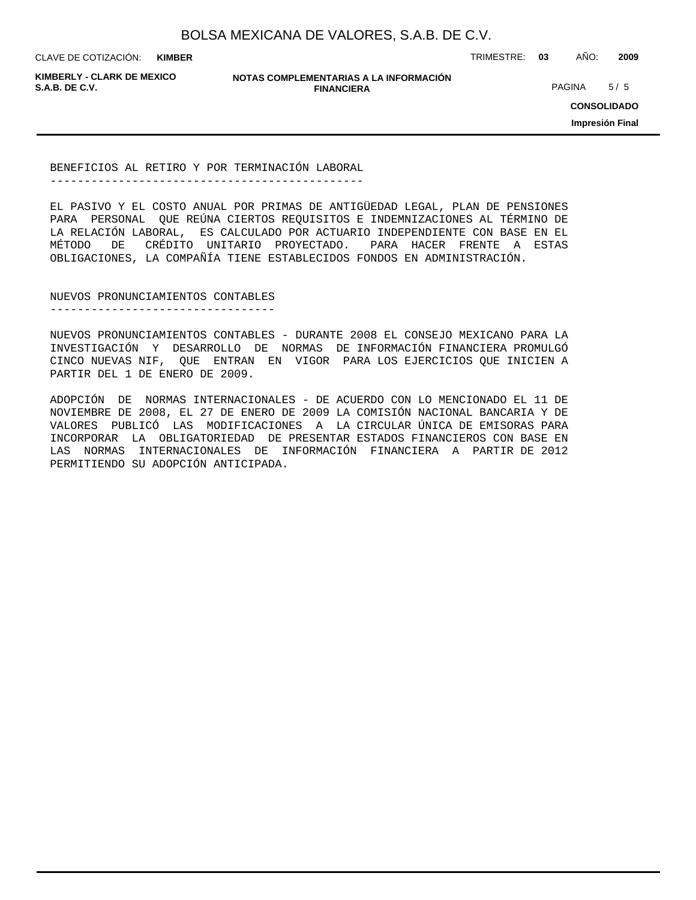**KIMBER**

CLAVE DE COTIZACIÓN: TRIMESTRE: **03** AÑO: **2009**

**KIMBERLY - CLARK DE MEXICO**

**NOTAS COMPLEMENTARIAS A LA INFORMACIÓN FINANCIERA S.A.B. DE C.V.** PAGINA 5 / 5

**CONSOLIDADO**

**Impresión Final**

BENEFICIOS AL RETIRO Y POR TERMINACIÓN LABORAL ----------------------------------------------

EL PASIVO Y EL COSTO ANUAL POR PRIMAS DE ANTIGÜEDAD LEGAL, PLAN DE PENSIONES PARA PERSONAL QUE REÚNA CIERTOS REQUISITOS E INDEMNIZACIONES AL TÉRMINO DE LA RELACIÓN LABORAL, ES CALCULADO POR ACTUARIO INDEPENDIENTE CON BASE EN EL MÉTODO DE CRÉDITO UNITARIO PROYECTADO. PARA HACER FRENTE A ESTAS OBLIGACIONES, LA COMPAÑÍA TIENE ESTABLECIDOS FONDOS EN ADMINISTRACIÓN.

NUEVOS PRONUNCIAMIENTOS CONTABLES ---------------------------------

NUEVOS PRONUNCIAMIENTOS CONTABLES - DURANTE 2008 EL CONSEJO MEXICANO PARA LA INVESTIGACIÓN Y DESARROLLO DE NORMAS DE INFORMACIÓN FINANCIERA PROMULGÓ CINCO NUEVAS NIF, QUE ENTRAN EN VIGOR PARA LOS EJERCICIOS QUE INICIEN A PARTIR DEL 1 DE ENERO DE 2009.

ADOPCIÓN DE NORMAS INTERNACIONALES - DE ACUERDO CON LO MENCIONADO EL 11 DE NOVIEMBRE DE 2008, EL 27 DE ENERO DE 2009 LA COMISIÓN NACIONAL BANCARIA Y DE VALORES PUBLICÓ LAS MODIFICACIONES A LA CIRCULAR ÚNICA DE EMISORAS PARA INCORPORAR LA OBLIGATORIEDAD DE PRESENTAR ESTADOS FINANCIEROS CON BASE EN LAS NORMAS INTERNACIONALES DE INFORMACIÓN FINANCIERA A PARTIR DE 2012 PERMITIENDO SU ADOPCIÓN ANTICIPADA.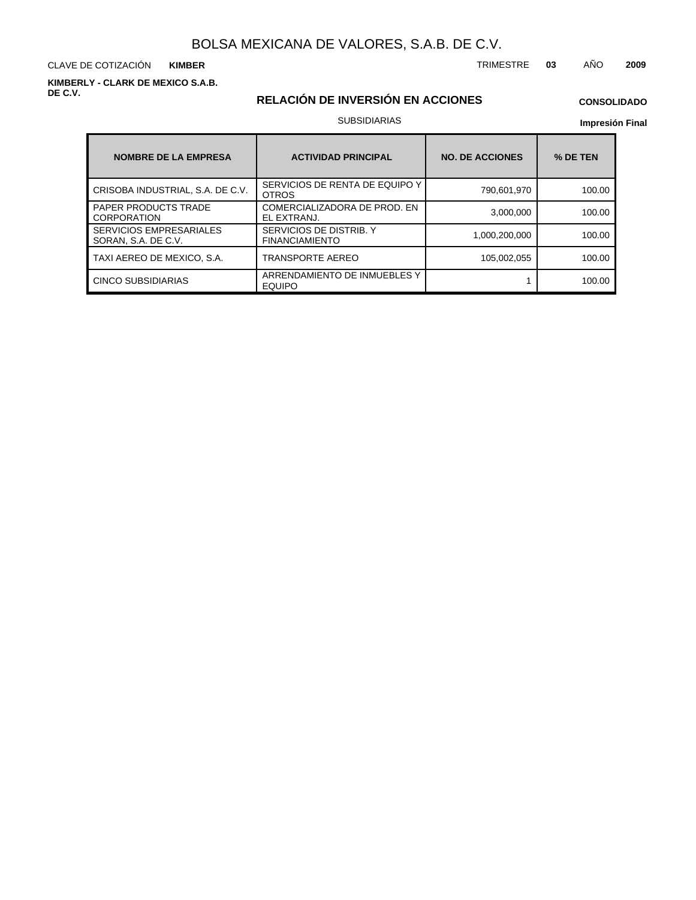CLAVE DE COTIZACIÓN TRIMESTRE **03** AÑO **2009 KIMBER**

**KIMBERLY - CLARK DE MEXICO S.A.B. DE C.V.**

## **RELACIÓN DE INVERSIÓN EN ACCIONES**

## **CONSOLIDADO**

#### SUBSIDIARIAS

| <b>NOMBRE DE LA EMPRESA</b>                           | <b>ACTIVIDAD PRINCIPAL</b>                       | <b>NO. DE ACCIONES</b> | % DE TEN |
|-------------------------------------------------------|--------------------------------------------------|------------------------|----------|
| CRISOBA INDUSTRIAL, S.A. DE C.V.                      | SERVICIOS DE RENTA DE EQUIPO Y<br><b>OTROS</b>   | 790,601,970            | 100.00   |
| <b>PAPER PRODUCTS TRADE</b><br><b>CORPORATION</b>     | COMERCIALIZADORA DE PROD. EN<br>EL EXTRANJ.      | 3,000,000              | 100.00   |
| <b>SERVICIOS EMPRESARIALES</b><br>SORAN, S.A. DE C.V. | SERVICIOS DE DISTRIB. Y<br><b>FINANCIAMIENTO</b> | 1,000,200,000          | 100.00   |
| TAXI AEREO DE MEXICO, S.A.                            | TRANSPORTE AEREO                                 | 105,002,055            | 100.00   |
| <b>CINCO SUBSIDIARIAS</b>                             | ARRENDAMIENTO DE INMUEBLES Y<br><b>EQUIPO</b>    |                        | 100.00   |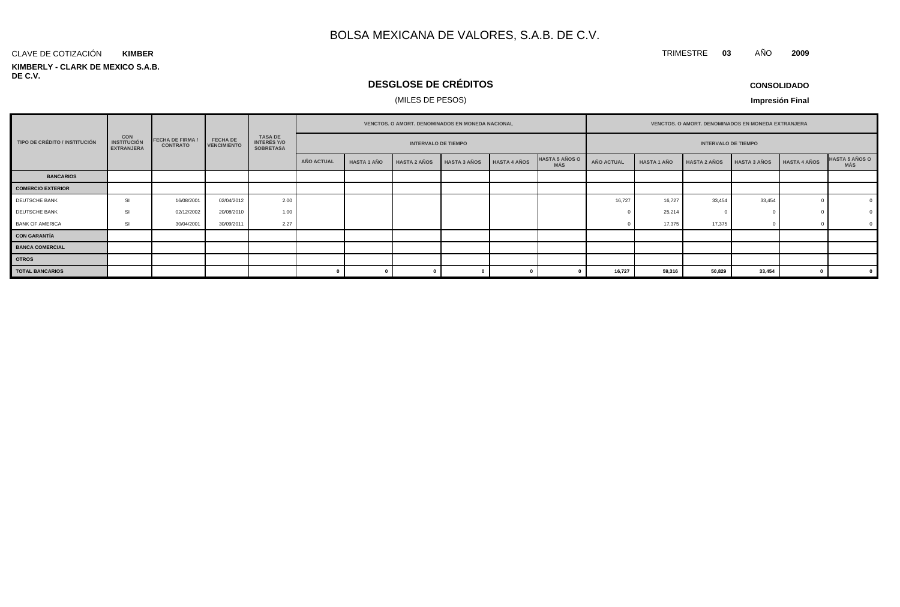#### **KIMBERLY - CLARK DE MEXICO S.A.B. DE C.V.** CLAVE DE COTIZACIÓN **KIMBER**

## **DESGLOSE DE CRÉDITOS**

### (MILES DE PESOS)

**CONSOLIDADO**

TRIMESTRE **03** AÑO **2009**

|                               |                                                                                                                                                                                                          |            |            |      |            | VENCTOS. O AMORT. DENOMINADOS EN MONEDA NACIONAL |                     |                     |                     |                              |                   |                    | <b>VENCTOS, O AMORT, DENOMINADOS EN MONEDA EXTRANJERA</b> |                     |              |                              |
|-------------------------------|----------------------------------------------------------------------------------------------------------------------------------------------------------------------------------------------------------|------------|------------|------|------------|--------------------------------------------------|---------------------|---------------------|---------------------|------------------------------|-------------------|--------------------|-----------------------------------------------------------|---------------------|--------------|------------------------------|
| TIPO DE CRÉDITO / INSTITUCIÓN | <b>CON</b><br><b>TASA DE</b><br><b>FECHA DE</b><br><b>FECHA DE FIRMA /</b><br><b>INTERÉS Y/O</b><br><b>INSTITUCIÓN</b><br><b>VENCIMIENTO</b><br><b>CONTRATO</b><br><b>EXTRANJERA</b><br><b>SOBRETASA</b> |            |            |      |            | <b>INTERVALO DE TIEMPO</b>                       |                     |                     |                     | <b>INTERVALO DE TIEMPO</b>   |                   |                    |                                                           |                     |              |                              |
|                               |                                                                                                                                                                                                          |            |            |      | AÑO ACTUAL | <b>HASTA 1 AÑO</b>                               | <b>HASTA 2 AÑOS</b> | <b>HASTA 3 AÑOS</b> | <b>HASTA 4 AÑOS</b> | <b>HASTA 5 AÑOS O</b><br>MÁS | <b>AÑO ACTUAL</b> | <b>HASTA 1 AÑO</b> | <b>HASTA 2 AÑOS</b>                                       | <b>HASTA 3 AÑOS</b> | HASTA 4 AÑOS | <b>HASTA 5 AÑOS O</b><br>MÁS |
| <b>BANCARIOS</b>              |                                                                                                                                                                                                          |            |            |      |            |                                                  |                     |                     |                     |                              |                   |                    |                                                           |                     |              |                              |
| <b>COMERCIO EXTERIOR</b>      |                                                                                                                                                                                                          |            |            |      |            |                                                  |                     |                     |                     |                              |                   |                    |                                                           |                     |              |                              |
| DEUTSCHE BANK                 | SI                                                                                                                                                                                                       | 16/08/2001 | 02/04/2012 | 2.00 |            |                                                  |                     |                     |                     |                              | 16,727            | 16.727             | 33,454                                                    | 33,454              |              | $\Omega$                     |
| DEUTSCHE BANK                 | SI                                                                                                                                                                                                       | 02/12/2002 | 20/08/2010 | 1.00 |            |                                                  |                     |                     |                     |                              |                   | 25,214             |                                                           |                     |              |                              |
| <b>BANK OF AMERICA</b>        | SI                                                                                                                                                                                                       | 30/04/2001 | 30/09/2011 | 2.27 |            |                                                  |                     |                     |                     |                              |                   | 17,375             | 17,375                                                    |                     |              |                              |
| <b>CON GARANTÍA</b>           |                                                                                                                                                                                                          |            |            |      |            |                                                  |                     |                     |                     |                              |                   |                    |                                                           |                     |              |                              |
| <b>BANCA COMERCIAL</b>        |                                                                                                                                                                                                          |            |            |      |            |                                                  |                     |                     |                     |                              |                   |                    |                                                           |                     |              |                              |
| <b>OTROS</b>                  |                                                                                                                                                                                                          |            |            |      |            |                                                  |                     |                     |                     |                              |                   |                    |                                                           |                     |              |                              |
| <b>TOTAL BANCARIOS</b>        |                                                                                                                                                                                                          |            |            |      |            |                                                  |                     |                     |                     |                              | 16,727            | 59,316             | 50,829                                                    | 33,454              |              |                              |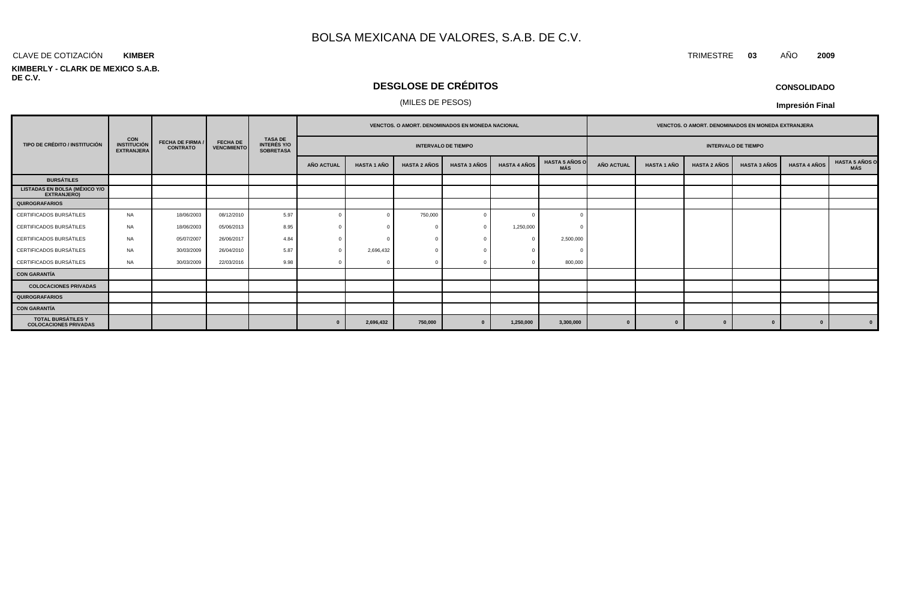#### CLAVE DE COTIZACIÓN TRIMESTRE **03** AÑO **2009 KIMBER**

#### **KIMBERLY - CLARK DE MEXICO S.A.B. DE C.V.**

## **DESGLOSE DE CRÉDITOS**

#### (MILES DE PESOS)

| <b>CONSOLIDADO</b> |  |
|--------------------|--|
|--------------------|--|

|                                                            |                                                       |                                            |            |      |                   |                    |                     | <b>VENCTOS, O AMORT, DENOMINADOS EN MONEDA NACIONAL</b> |                                       |                                        |                                              |                    | <b>VENCTOS, O AMORT, DENOMINADOS EN MONEDA EXTRANJERA</b> |                     |                     |                                     |                            |  |  |  |  |
|------------------------------------------------------------|-------------------------------------------------------|--------------------------------------------|------------|------|-------------------|--------------------|---------------------|---------------------------------------------------------|---------------------------------------|----------------------------------------|----------------------------------------------|--------------------|-----------------------------------------------------------|---------------------|---------------------|-------------------------------------|----------------------------|--|--|--|--|
| TIPO DE CRÉDITO / INSTITUCIÓN                              | <b>CON</b><br><b>INSTITUCIÓN</b><br><b>EXTRANJERA</b> | <b>FECHA DE FIRMA /</b><br><b>CONTRATO</b> |            |      |                   |                    |                     |                                                         | <b>FECHA DE</b><br><b>VENCIMIENTO</b> | <b>INTERÉS Y/O</b><br><b>SOBRETASA</b> | <b>TASA DE</b><br><b>INTERVALO DE TIEMPO</b> |                    |                                                           |                     |                     |                                     | <b>INTERVALO DE TIEMPO</b> |  |  |  |  |
|                                                            |                                                       |                                            |            |      | <b>AÑO ACTUAL</b> | <b>HASTA 1 AÑO</b> | <b>HASTA 2 AÑOS</b> | <b>HASTA 3 AÑOS</b>                                     | <b>HASTA 4 AÑOS</b>                   | <b>HASTA 5 AÑOS O</b><br>MÁS           | <b>AÑO ACTUAL</b>                            | <b>HASTA 1 AÑO</b> | <b>HASTA 2 AÑOS</b>                                       | <b>HASTA 3 AÑOS</b> | <b>HASTA 4 AÑOS</b> | <b>HASTA 5 AÑOS O</b><br><b>MÁS</b> |                            |  |  |  |  |
| <b>BURSÁTILES</b>                                          |                                                       |                                            |            |      |                   |                    |                     |                                                         |                                       |                                        |                                              |                    |                                                           |                     |                     |                                     |                            |  |  |  |  |
| <b>LISTADAS EN BOLSA (MÉXICO Y/O</b><br><b>EXTRANJERO)</b> |                                                       |                                            |            |      |                   |                    |                     |                                                         |                                       |                                        |                                              |                    |                                                           |                     |                     |                                     |                            |  |  |  |  |
| QUIROGRAFARIOS                                             |                                                       |                                            |            |      |                   |                    |                     |                                                         |                                       |                                        |                                              |                    |                                                           |                     |                     |                                     |                            |  |  |  |  |
| CERTIFICADOS BURSÁTILES                                    | <b>NA</b>                                             | 18/06/2003                                 | 08/12/2010 | 5.97 |                   |                    | 750,000             |                                                         |                                       |                                        |                                              |                    |                                                           |                     |                     |                                     |                            |  |  |  |  |
| CERTIFICADOS BURSÁTILES                                    | NA                                                    | 18/06/2003                                 | 05/06/2013 | 8.95 |                   |                    | - 0                 |                                                         | 1,250,000                             |                                        |                                              |                    |                                                           |                     |                     |                                     |                            |  |  |  |  |
| CERTIFICADOS BURSÁTILES                                    | NA                                                    | 05/07/2007                                 | 26/06/2017 | 4.84 |                   |                    | $\sqrt{ }$          |                                                         | $\Omega$                              | 2,500,000                              |                                              |                    |                                                           |                     |                     |                                     |                            |  |  |  |  |
| CERTIFICADOS BURSÁTILES                                    | <b>NA</b>                                             | 30/03/2009                                 | 26/04/2010 | 5.87 |                   | 2,696,432          |                     |                                                         |                                       |                                        |                                              |                    |                                                           |                     |                     |                                     |                            |  |  |  |  |
| CERTIFICADOS BURSÁTILES                                    | NA                                                    | 30/03/2009                                 | 22/03/2016 | 9.98 |                   |                    |                     |                                                         |                                       | 800,000                                |                                              |                    |                                                           |                     |                     |                                     |                            |  |  |  |  |
| <b>CON GARANTÍA</b>                                        |                                                       |                                            |            |      |                   |                    |                     |                                                         |                                       |                                        |                                              |                    |                                                           |                     |                     |                                     |                            |  |  |  |  |
| <b>COLOCACIONES PRIVADAS</b>                               |                                                       |                                            |            |      |                   |                    |                     |                                                         |                                       |                                        |                                              |                    |                                                           |                     |                     |                                     |                            |  |  |  |  |
| <b>QUIROGRAFARIOS</b>                                      |                                                       |                                            |            |      |                   |                    |                     |                                                         |                                       |                                        |                                              |                    |                                                           |                     |                     |                                     |                            |  |  |  |  |
| <b>CON GARANTÍA</b>                                        |                                                       |                                            |            |      |                   |                    |                     |                                                         |                                       |                                        |                                              |                    |                                                           |                     |                     |                                     |                            |  |  |  |  |
| <b>TOTAL BURSÁTILES Y</b><br><b>COLOCACIONES PRIVADAS</b>  |                                                       |                                            |            |      |                   | 2,696,432          | 750,000             | - 0                                                     | 1,250,000                             | 3,300,000                              |                                              |                    |                                                           |                     | $\bf{0}$            | $\overline{\mathbf{0}}$             |                            |  |  |  |  |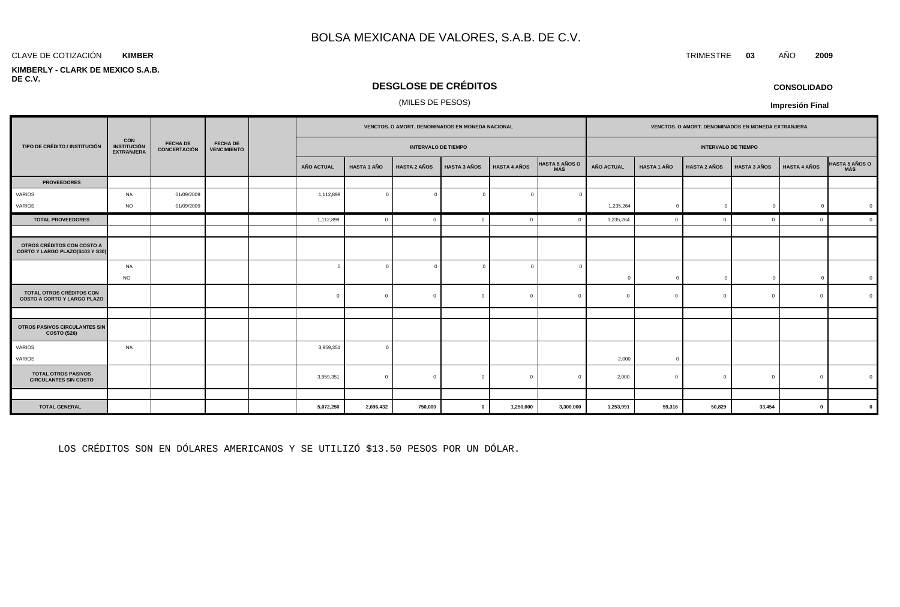#### CLAVE DE COTIZACIÓN TRIMESTRE **03** AÑO **2009 KIMBER**

 $\Box$ 

#### **KIMBERLY - CLARK DE MEXICO S.A.B. DE C.V.**

## **DESGLOSE DE CRÉDITOS**

#### (MILES DE PESOS)

|                                                                       |                                                       |                                 |                                | VENCTOS. O AMORT. DENOMINADOS EN MONEDA NACIONAL<br>VENCTOS. O AMORT. DENOMINADOS EN MONEDA EXTRANJERA |                    |                            |                     |                     |                               |                   |                    |                            |                     |                     |                              |
|-----------------------------------------------------------------------|-------------------------------------------------------|---------------------------------|--------------------------------|--------------------------------------------------------------------------------------------------------|--------------------|----------------------------|---------------------|---------------------|-------------------------------|-------------------|--------------------|----------------------------|---------------------|---------------------|------------------------------|
| TIPO DE CRÉDITO / INSTITUCIÓN                                         | <b>CON</b><br><b>INSTITUCIÓN</b><br><b>EXTRANJERA</b> | <b>FECHA DE</b><br>CONCERTACIÓN | FECHA DE<br><b>VENCIMIENTO</b> |                                                                                                        |                    | <b>INTERVALO DE TIEMPO</b> |                     |                     |                               |                   |                    | <b>INTERVALO DE TIEMPO</b> |                     |                     |                              |
|                                                                       |                                                       |                                 |                                | <b>AÑO ACTUAL</b>                                                                                      | <b>HASTA 1 AÑO</b> | <b>HASTA 2 AÑOS</b>        | <b>HASTA 3 AÑOS</b> | <b>HASTA 4 AÑOS</b> | <b>HASTA 5 AÑOS O<br/>MÁS</b> | <b>AÑO ACTUAL</b> | <b>HASTA 1 AÑO</b> | <b>HASTA 2 AÑOS</b>        | <b>HASTA 3 AÑOS</b> | <b>HASTA 4 AÑOS</b> | <b>HASTA 5 AÑOS O</b><br>MÁS |
| <b>PROVEEDORES</b>                                                    |                                                       |                                 |                                |                                                                                                        |                    |                            |                     |                     |                               |                   |                    |                            |                     |                     |                              |
| VARIOS                                                                | <b>NA</b>                                             | 01/09/2009                      |                                | 1,112,899                                                                                              | n                  | $\Omega$                   | $\sqrt{ }$          |                     | $\Omega$                      |                   |                    |                            |                     |                     |                              |
| VARIOS                                                                | <b>NO</b>                                             | 01/09/2009                      |                                |                                                                                                        |                    |                            |                     |                     |                               | 1,235,264         | $\Omega$           | $\Omega$                   | $\Omega$            | $\overline{0}$      |                              |
| <b>TOTAL PROVEEDORES</b>                                              |                                                       |                                 |                                | 1,112,899                                                                                              | $\overline{0}$     | $\Omega$                   | $\Omega$            | - C                 | $\mathbf{0}$                  | 1,235,264         | $\Omega$           |                            | $\Omega$            | $\mathbf{0}$        | $\overline{0}$               |
|                                                                       |                                                       |                                 |                                |                                                                                                        |                    |                            |                     |                     |                               |                   |                    |                            |                     |                     |                              |
| OTROS CRÉDITOS CON COSTO A<br>CORTO Y LARGO PLAZO(S103 Y S30)         |                                                       |                                 |                                |                                                                                                        |                    |                            |                     |                     |                               |                   |                    |                            |                     |                     |                              |
|                                                                       | <b>NA</b>                                             |                                 |                                | $\Omega$                                                                                               |                    | $\Omega$                   |                     |                     | $\sqrt{ }$                    |                   |                    |                            |                     |                     |                              |
|                                                                       | <b>NO</b>                                             |                                 |                                |                                                                                                        |                    |                            |                     |                     |                               | $\Omega$          | $\Omega$           | $\Omega$                   | $\mathbf 0$         | $\overline{0}$      | $\Omega$                     |
| <b>TOTAL OTROS CRÉDITOS CON</b><br><b>COSTO A CORTO Y LARGO PLAZO</b> |                                                       |                                 |                                | $\Omega$                                                                                               | $\Omega$           | $\Omega$                   | $\Omega$            |                     | $\overline{0}$                | $\Omega$          |                    |                            | $\Omega$            | $\overline{0}$      |                              |
|                                                                       |                                                       |                                 |                                |                                                                                                        |                    |                            |                     |                     |                               |                   |                    |                            |                     |                     |                              |
| OTROS PASIVOS CIRCULANTES SIN<br>COSTO (S26)                          |                                                       |                                 |                                |                                                                                                        |                    |                            |                     |                     |                               |                   |                    |                            |                     |                     |                              |
| VARIOS                                                                | <b>NA</b>                                             |                                 |                                | 3,959,351                                                                                              |                    |                            |                     |                     |                               |                   |                    |                            |                     |                     |                              |
| VARIOS                                                                |                                                       |                                 |                                |                                                                                                        |                    |                            |                     |                     |                               | 2,000             | $\Omega$           |                            |                     |                     |                              |
| <b>TOTAL OTROS PASIVOS</b><br><b>CIRCULANTES SIN COSTO</b>            |                                                       |                                 |                                | 3,959,351                                                                                              | $\Omega$           | $\Omega$                   | $\Omega$            |                     | $\mathbf{0}$                  | 2,000             | $\Omega$           |                            | $\Omega$            | $\overline{0}$      | $\Omega$                     |
|                                                                       |                                                       |                                 |                                |                                                                                                        |                    |                            |                     |                     |                               |                   |                    |                            |                     |                     |                              |
| <b>TOTAL GENERAL</b>                                                  |                                                       |                                 |                                | 5,072,250                                                                                              | 2,696,432          | 750,000                    | $\mathbf{0}$        | 1,250,000           | 3,300,000                     | 1,253,991         | 59,316             | 50,829                     | 33,454              | $\Omega$            |                              |

LOS CRÉDITOS SON EN DÓLARES AMERICANOS Y SE UTILIZÓ \$13.50 PESOS POR UN DÓLAR.

**CONSOLIDADO**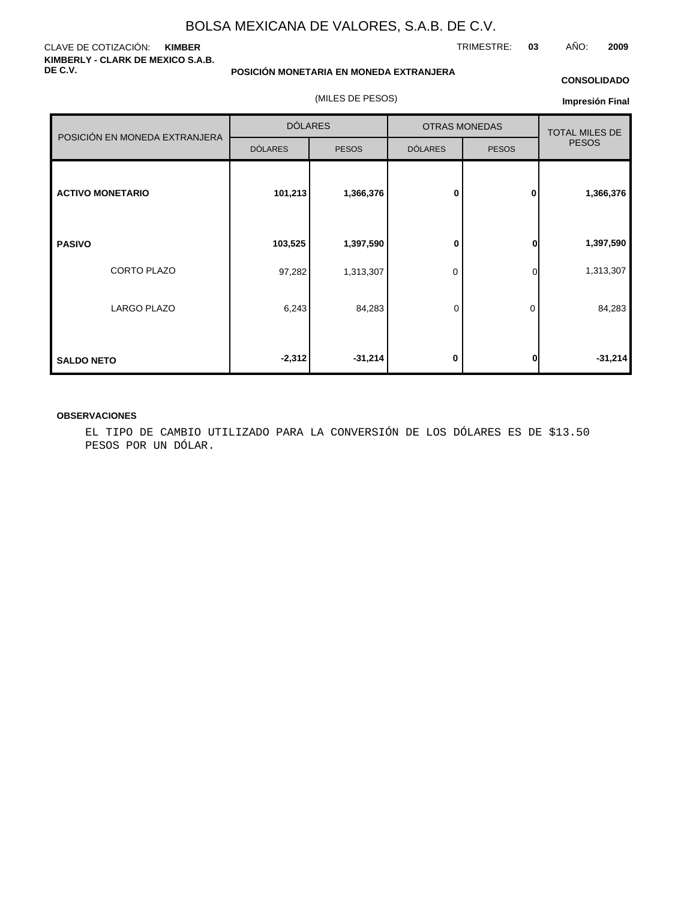#### CLAVE DE COTIZACIÓN: **KIMBER KIMBERLY - CLARK DE MEXICO S.A.B. DE C.V.**

**POSICIÓN MONETARIA EN MONEDA EXTRANJERA**

(MILES DE PESOS)

#### **CONSOLIDADO**

TRIMESTRE: **03** AÑO: **2009**

**Impresión Final**

|                               | <b>DÓLARES</b> |              |                | <b>OTRAS MONEDAS</b> | <b>TOTAL MILES DE</b><br><b>PESOS</b> |  |
|-------------------------------|----------------|--------------|----------------|----------------------|---------------------------------------|--|
| POSICIÓN EN MONEDA EXTRANJERA | <b>DÓLARES</b> | <b>PESOS</b> | <b>DÓLARES</b> | <b>PESOS</b>         |                                       |  |
| <b>ACTIVO MONETARIO</b>       | 101,213        | 1,366,376    | 0              | 0                    | 1,366,376                             |  |
| <b>PASIVO</b>                 | 103,525        | 1,397,590    | 0              | $\mathbf{0}$         | 1,397,590                             |  |
| CORTO PLAZO                   | 97,282         | 1,313,307    | 0              | 0l                   | 1,313,307                             |  |
| <b>LARGO PLAZO</b>            | 6,243          | 84,283       | 0              | $\Omega$             | 84,283                                |  |
| <b>SALDO NETO</b>             | $-2,312$       | $-31,214$    | 0              | $\mathbf{0}$         | $-31,214$                             |  |

#### **OBSERVACIONES**

EL TIPO DE CAMBIO UTILIZADO PARA LA CONVERSIÓN DE LOS DÓLARES ES DE \$13.50 PESOS POR UN DÓLAR.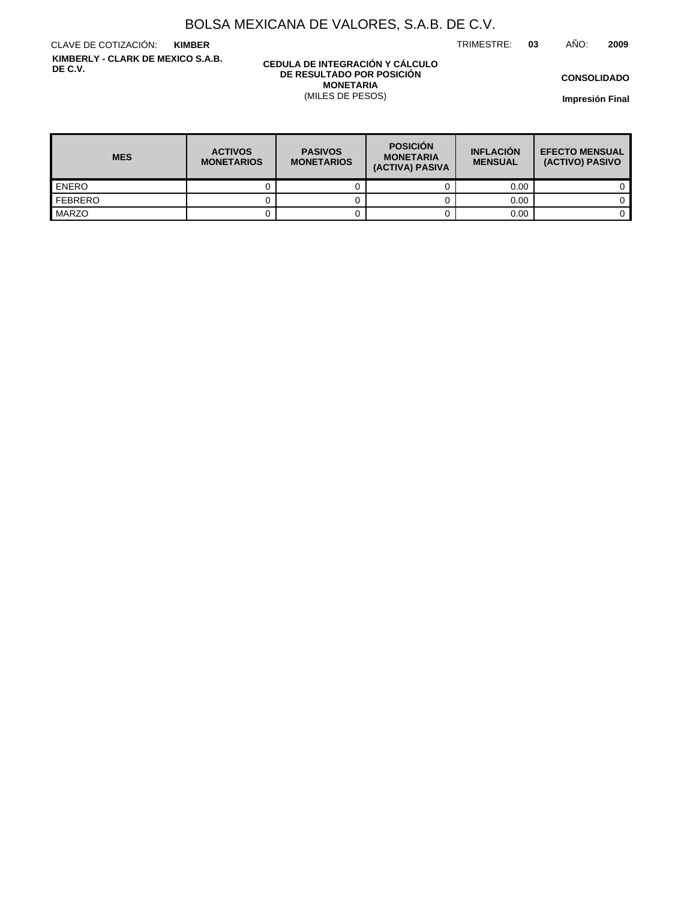TRIMESTRE: **03** AÑO: **2009**

CLAVE DE COTIZACIÓN: **KIMBER KIMBERLY - CLARK DE MEXICO S.A.B. DE C.V.**

#### **CEDULA DE INTEGRACIÓN Y CÁLCULO DE RESULTADO POR POSICIÓN MONETARIA** (MILES DE PESOS)

**CONSOLIDADO**

| <b>MES</b>    | <b>ACTIVOS</b><br><b>MONETARIOS</b> | <b>PASIVOS</b><br><b>MONETARIOS</b> | <b>POSICIÓN</b><br><b>MONETARIA</b><br>(ACTIVA) PASIVA | <b>INFLACIÓN</b><br><b>MENSUAL</b> | <b>EFECTO MENSUAL</b><br>(ACTIVO) PASIVO |
|---------------|-------------------------------------|-------------------------------------|--------------------------------------------------------|------------------------------------|------------------------------------------|
| <b>LENERO</b> |                                     |                                     |                                                        | 0.00                               |                                          |
| FEBRERO       |                                     |                                     |                                                        | 0.00                               |                                          |
| MARZO         |                                     |                                     |                                                        | 0.00                               |                                          |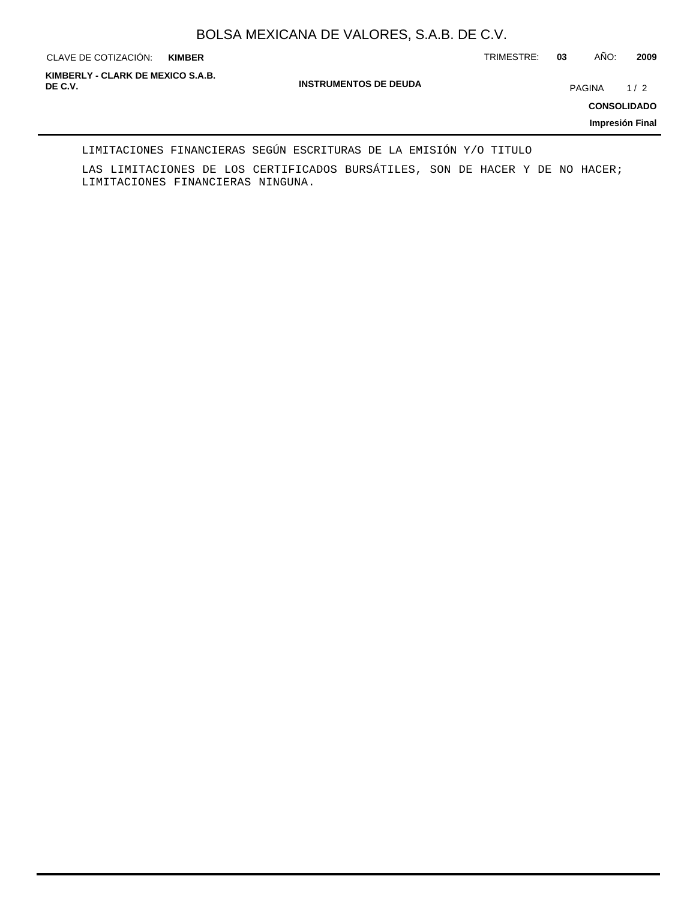**KIMBER**

CLAVE DE COTIZACIÓN: TRIMESTRE: **03** AÑO: **2009**

**INSTRUMENTOS DE DEUDA DE C.V.** PAGINA 1 / 2 **KIMBERLY - CLARK DE MEXICO S.A.B.**

**CONSOLIDADO**

**Impresión Final**

#### LIMITACIONES FINANCIERAS SEGÚN ESCRITURAS DE LA EMISIÓN Y/O TITULO

LAS LIMITACIONES DE LOS CERTIFICADOS BURSÁTILES, SON DE HACER Y DE NO HACER; LIMITACIONES FINANCIERAS NINGUNA.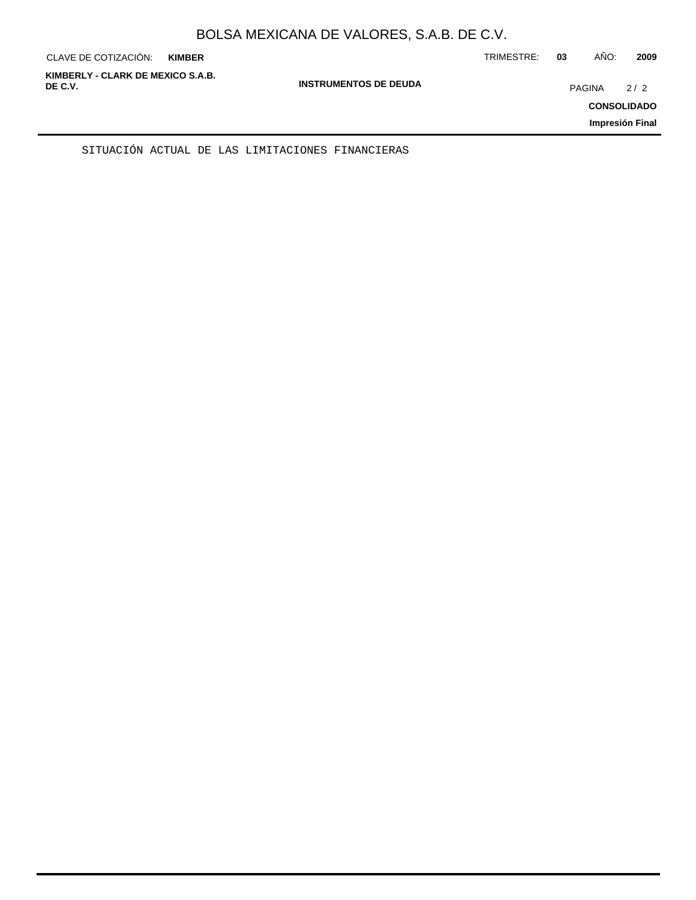| KIMBERLY - CLARK DE MEXICO S.A.B.<br><b>INSTRUMENTOS DE DEUDA</b><br>DE C.V.<br>2/2<br><b>PAGINA</b><br><b>CONSOLIDADO</b><br>Impresión Final | CLAVE DE COTIZACIÓN: | <b>KIMBER</b> | TRIMESTRE: | 03 | AÑO: | 2009 |
|-----------------------------------------------------------------------------------------------------------------------------------------------|----------------------|---------------|------------|----|------|------|
|                                                                                                                                               |                      |               |            |    |      |      |

SITUACIÓN ACTUAL DE LAS LIMITACIONES FINANCIERAS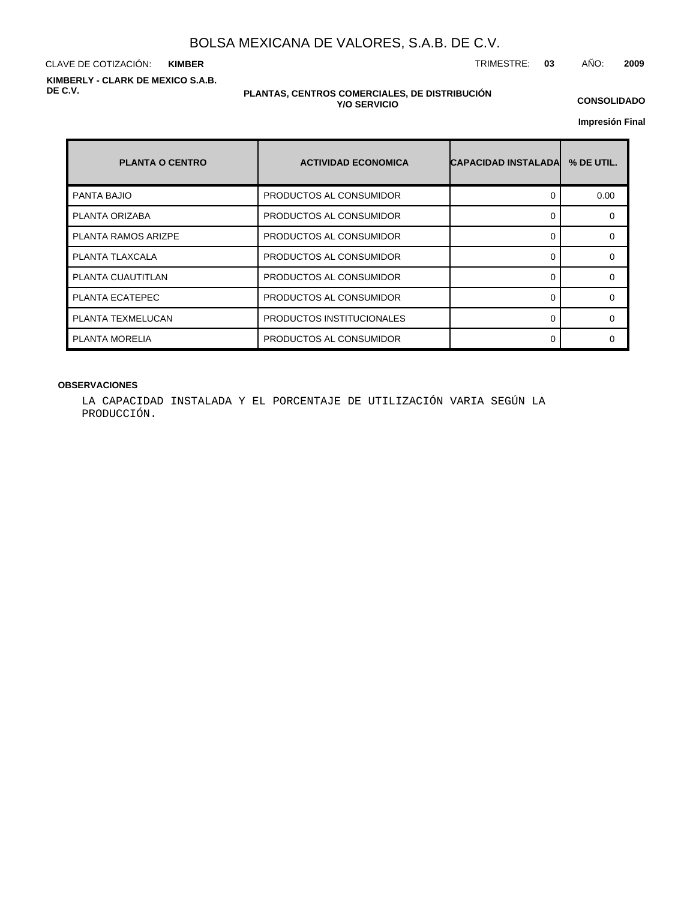CLAVE DE COTIZACIÓN: TRIMESTRE: **03** AÑO: **2009 KIMBER KIMBERLY - CLARK DE MEXICO S.A.B. DE C.V.**

#### **PLANTAS, CENTROS COMERCIALES, DE DISTRIBUCIÓN Y/O SERVICIO**

**CONSOLIDADO**

**Impresión Final**

| <b>PLANTA O CENTRO</b>     | <b>ACTIVIDAD ECONOMICA</b> | <b>CAPACIDAD INSTALADA</b> | % DE UTIL. |
|----------------------------|----------------------------|----------------------------|------------|
| <b>PANTA BAJIO</b>         | PRODUCTOS AL CONSUMIDOR    |                            | 0.00       |
| PLANTA ORIZABA             | PRODUCTOS AL CONSUMIDOR    |                            | $\Omega$   |
| <b>PLANTA RAMOS ARIZPE</b> | PRODUCTOS AL CONSUMIDOR    | ∩                          | $\Omega$   |
| PLANTA TLAXCALA            | PRODUCTOS AL CONSUMIDOR    |                            | $\Omega$   |
| PLANTA CUAUTITLAN          | PRODUCTOS AL CONSUMIDOR    |                            | $\Omega$   |
| PLANTA ECATEPEC            | PRODUCTOS AL CONSUMIDOR    | ∩                          | $\Omega$   |
| PLANTA TEXMELUCAN          | PRODUCTOS INSTITUCIONALES  |                            | 0          |
| PLANTA MORELIA             | PRODUCTOS AL CONSUMIDOR    |                            | ∩          |

#### **OBSERVACIONES**

LA CAPACIDAD INSTALADA Y EL PORCENTAJE DE UTILIZACIÓN VARIA SEGÚN LA PRODUCCIÓN.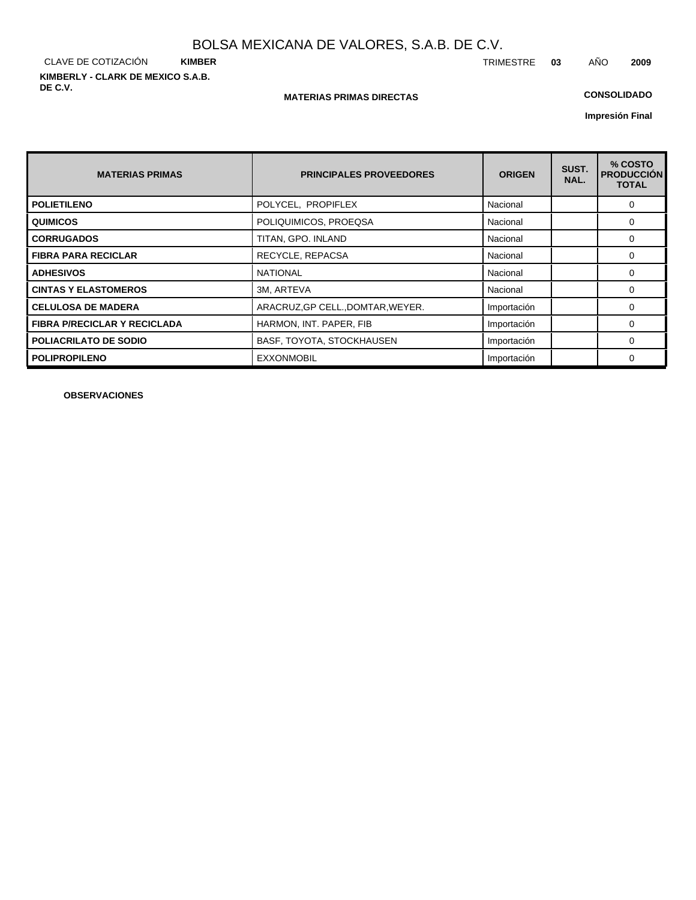CLAVE DE COTIZACIÓN **KIMBER KIMBERLY - CLARK DE MEXICO S.A.B. DE C.V.**

#### **MATERIAS PRIMAS DIRECTAS**

## **CONSOLIDADO**

**Impresión Final**

| <b>MATERIAS PRIMAS</b>              | <b>PRINCIPALES PROVEEDORES</b>    | <b>ORIGEN</b> | SUST.<br>NAL. | % COSTO<br><b>PRODUCCIÓN</b><br><b>TOTAL</b> |
|-------------------------------------|-----------------------------------|---------------|---------------|----------------------------------------------|
| <b>POLIETILENO</b>                  | POLYCEL, PROPIFLEX                | Nacional      |               | $\Omega$                                     |
| <b>QUIMICOS</b>                     | POLIQUIMICOS, PROEQSA             | Nacional      |               | $\Omega$                                     |
| <b>CORRUGADOS</b>                   | TITAN, GPO. INLAND                | Nacional      |               | $\Omega$                                     |
| <b>FIBRA PARA RECICLAR</b>          | RECYCLE, REPACSA                  | Nacional      |               | $\Omega$                                     |
| <b>ADHESIVOS</b>                    | <b>NATIONAL</b>                   | Nacional      |               | $\Omega$                                     |
| <b>CINTAS Y ELASTOMEROS</b>         | 3M, ARTEVA                        | Nacional      |               | $\Omega$                                     |
| <b>CELULOSA DE MADERA</b>           | ARACRUZ, GP CELL., DOMTAR, WEYER. | Importación   |               | $\Omega$                                     |
| <b>FIBRA P/RECICLAR Y RECICLADA</b> | HARMON, INT. PAPER, FIB           | Importación   |               | $\Omega$                                     |
| <b>POLIACRILATO DE SODIO</b>        | BASF, TOYOTA, STOCKHAUSEN         | Importación   |               | $\Omega$                                     |
| <b>POLIPROPILENO</b>                | <b>EXXONMOBIL</b>                 | Importación   |               | $\Omega$                                     |

**OBSERVACIONES**

TRIMESTRE **03** AÑO **2009**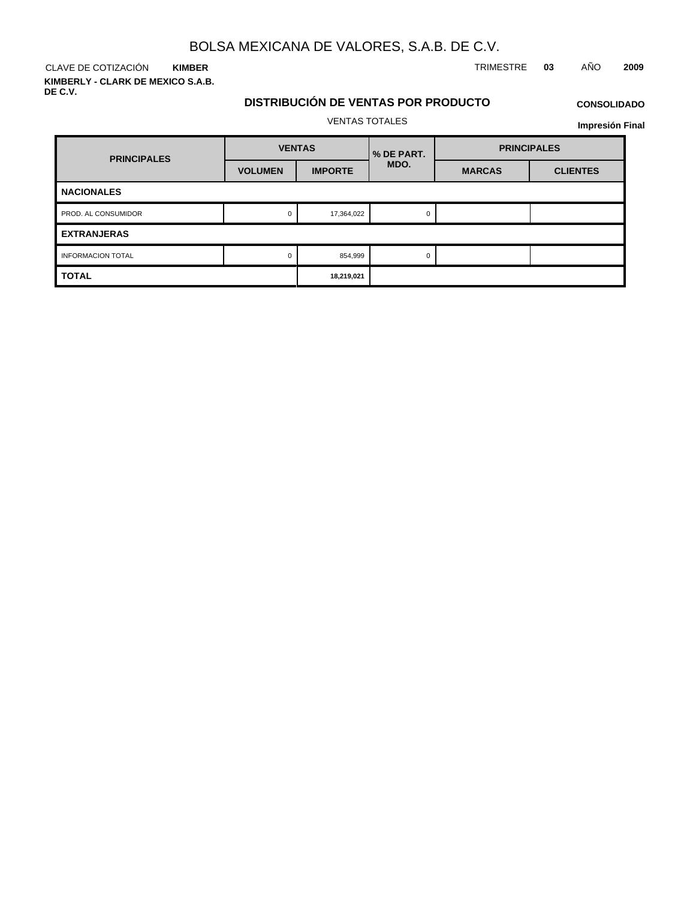CLAVE DE COTIZACIÓN TRIMESTRE **03** AÑO **2009 KIMBER**

**KIMBERLY - CLARK DE MEXICO S.A.B. DE C.V.**

## **DISTRIBUCIÓN DE VENTAS POR PRODUCTO**

## **CONSOLIDADO Impresión Final**

VENTAS TOTALES

| <b>PRINCIPALES</b>       | <b>VENTAS</b>  |                | % DE PART. | <b>PRINCIPALES</b> |                 |  |
|--------------------------|----------------|----------------|------------|--------------------|-----------------|--|
|                          | <b>VOLUMEN</b> | <b>IMPORTE</b> | MDO.       | <b>MARCAS</b>      | <b>CLIENTES</b> |  |
| <b>NACIONALES</b>        |                |                |            |                    |                 |  |
| PROD. AL CONSUMIDOR      | 0              | 17,364,022     | 0          |                    |                 |  |
| <b>EXTRANJERAS</b>       |                |                |            |                    |                 |  |
| <b>INFORMACION TOTAL</b> | 0              | 854,999        | 0          |                    |                 |  |
| TOTAL                    |                | 18,219,021     |            |                    |                 |  |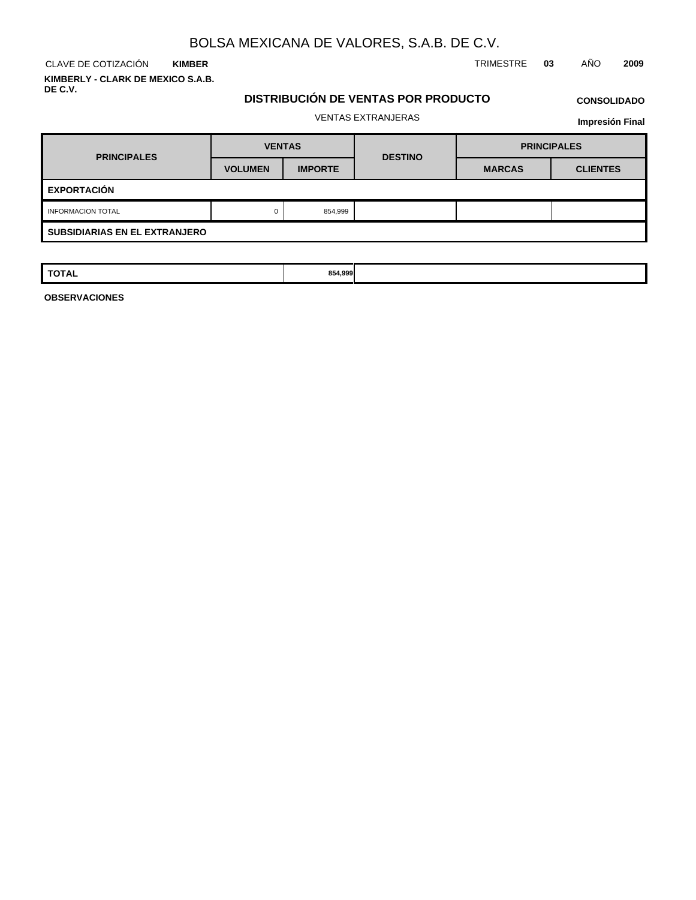CLAVE DE COTIZACIÓN TRIMESTRE **03** AÑO **2009 KIMBER KIMBERLY - CLARK DE MEXICO S.A.B.**

**DE C.V.**

## **DISTRIBUCIÓN DE VENTAS POR PRODUCTO**

## **CONSOLIDADO**

#### VENTAS EXTRANJERAS

**Impresión Final**

| <b>PRINCIPALES</b>                       | <b>VENTAS</b>  |                | <b>DESTINO</b> | <b>PRINCIPALES</b> |                 |  |
|------------------------------------------|----------------|----------------|----------------|--------------------|-----------------|--|
|                                          | <b>VOLUMEN</b> | <b>IMPORTE</b> |                | <b>MARCAS</b>      | <b>CLIENTES</b> |  |
| <b>EXPORTACIÓN</b>                       |                |                |                |                    |                 |  |
| 854,999<br><b>INFORMACION TOTAL</b><br>0 |                |                |                |                    |                 |  |
| <b>SUBSIDIARIAS EN EL EXTRANJERO</b>     |                |                |                |                    |                 |  |

| TOTAL | 854,999<br>$\sim$ $\sim$ |  |  |
|-------|--------------------------|--|--|
|       |                          |  |  |

**OBSERVACIONES**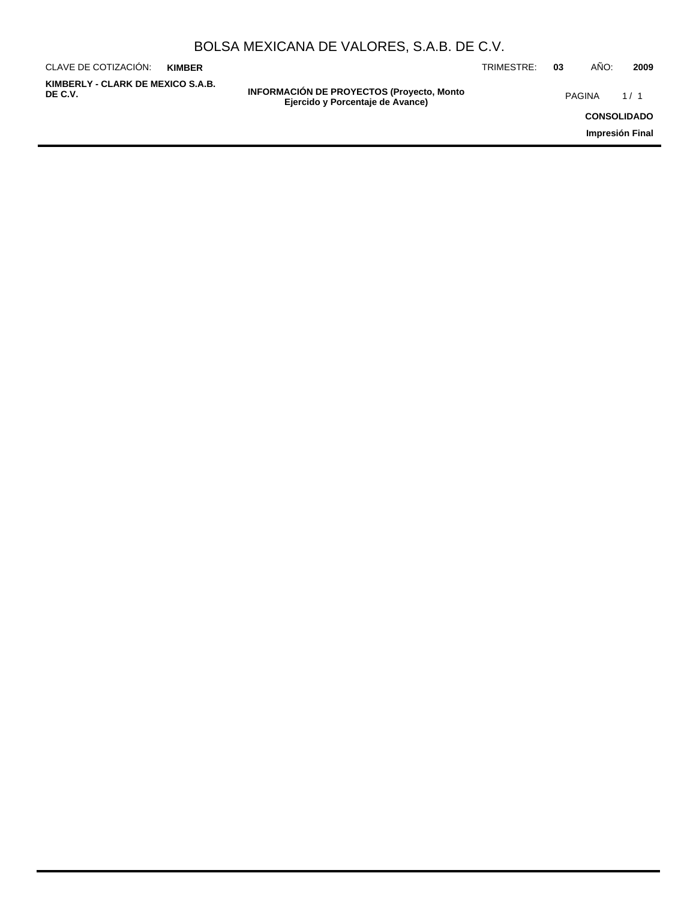| BOLSA MEXICANA DE VALORES, S.A.B. DE C.V. |  |  |  |
|-------------------------------------------|--|--|--|
|-------------------------------------------|--|--|--|

| CLAVE DE COTIZACIÓN:                         | <b>KIMBER</b> |                                                                                      | TRIMESTRE: | -03 | AÑO:               | 2009 |
|----------------------------------------------|---------------|--------------------------------------------------------------------------------------|------------|-----|--------------------|------|
| KIMBERLY - CLARK DE MEXICO S.A.B.<br>DE C.V. |               | <b>INFORMACIÓN DE PROYECTOS (Proyecto, Monto</b><br>Ejercido y Porcentaje de Avance) |            |     | PAGINA             | 1/1  |
|                                              |               |                                                                                      |            |     | <b>CONSOLIDADO</b> |      |
|                                              |               |                                                                                      |            |     | Impresión Final    |      |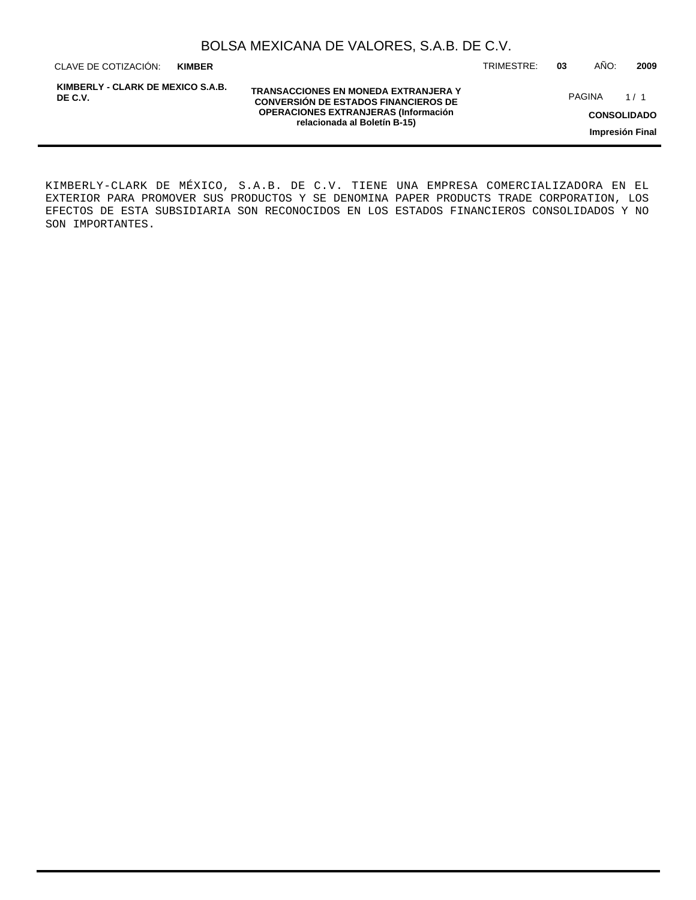| BOLSA MEXICANA DE VALORES, S.A.B. DE C.V. |  |  |  |
|-------------------------------------------|--|--|--|
|-------------------------------------------|--|--|--|

CLAVE DE COTIZACIÓN: TRIMESTRE: **03** AÑO: **2009 KIMBER**

**KIMBERLY - CLARK DE MEXICO S.A.B. DE C.V.**

**TRANSACCIONES EN MONEDA EXTRANJERA Y CONVERSIÓN DE ESTADOS FINANCIEROS DE OPERACIONES EXTRANJERAS (Información relacionada al Boletín B-15)**

PAGINA 1/1

**CONSOLIDADO**

**Impresión Final**

KIMBERLY-CLARK DE MÉXICO, S.A.B. DE C.V. TIENE UNA EMPRESA COMERCIALIZADORA EN EL EXTERIOR PARA PROMOVER SUS PRODUCTOS Y SE DENOMINA PAPER PRODUCTS TRADE CORPORATION, LOS EFECTOS DE ESTA SUBSIDIARIA SON RECONOCIDOS EN LOS ESTADOS FINANCIEROS CONSOLIDADOS Y NO SON IMPORTANTES.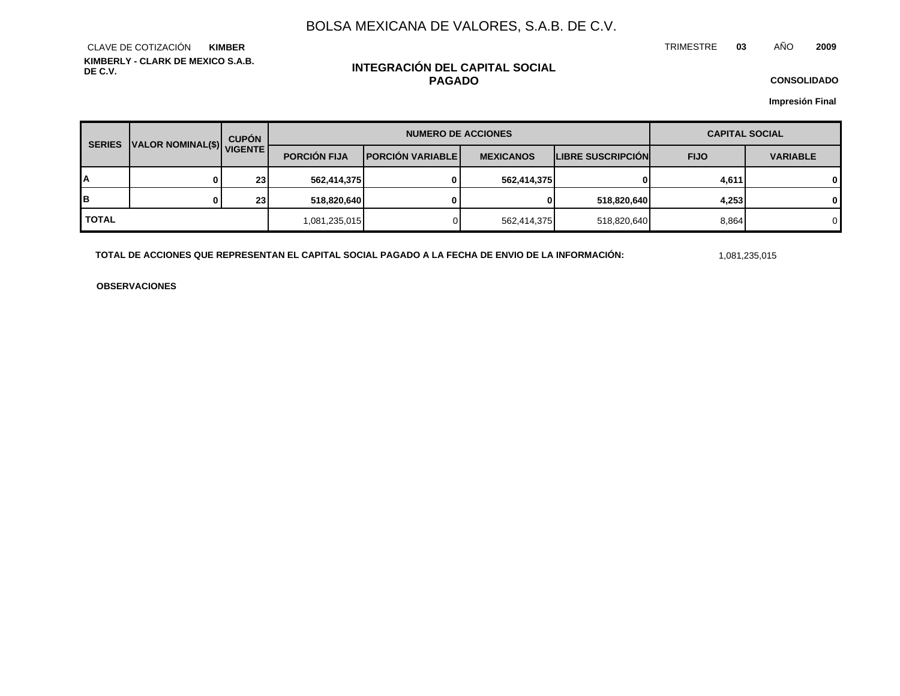TRIMESTRE **03** AÑO **2009**

**KIMBERLY - CLARK DE MEXICO S.A.B. DE C.V.** CLAVE DE COTIZACIÓN **KIMBER**

## **INTEGRACIÓN DEL CAPITAL SOCIAL PAGADO**

**CONSOLIDADO**

**Impresión Final**

| <b>SERIES</b> | VALOR NOMINAL(\$) VIGENTE | <b>CUPÓN</b> | <b>NUMERO DE ACCIONES</b> |                         |                  |                          | <b>CAPITAL SOCIAL</b> |                 |
|---------------|---------------------------|--------------|---------------------------|-------------------------|------------------|--------------------------|-----------------------|-----------------|
|               |                           |              | <b>PORCIÓN FIJA</b>       | <b>PORCIÓN VARIABLE</b> | <b>MEXICANOS</b> | <b>LIBRE SUSCRIPCION</b> | <b>FIJO</b>           | <b>VARIABLE</b> |
| А             |                           | 23           | 562,414,375               | $\mathbf{0}$            | 562,414,375      |                          | 4,611                 | $\mathbf{0}$    |
| B             |                           | 23           | 518,820,640               | 0                       | 0                | 518,820,640              | 4,253                 | $\mathbf{0}$    |
| <b>TOTAL</b>  |                           |              | 1,081,235,015             |                         | 562,414,375      | 518,820,640              | 8,864                 | 0               |

**TOTAL DE ACCIONES QUE REPRESENTAN EL CAPITAL SOCIAL PAGADO A LA FECHA DE ENVIO DE LA INFORMACIÓN:** 1,081,235,015

**OBSERVACIONES**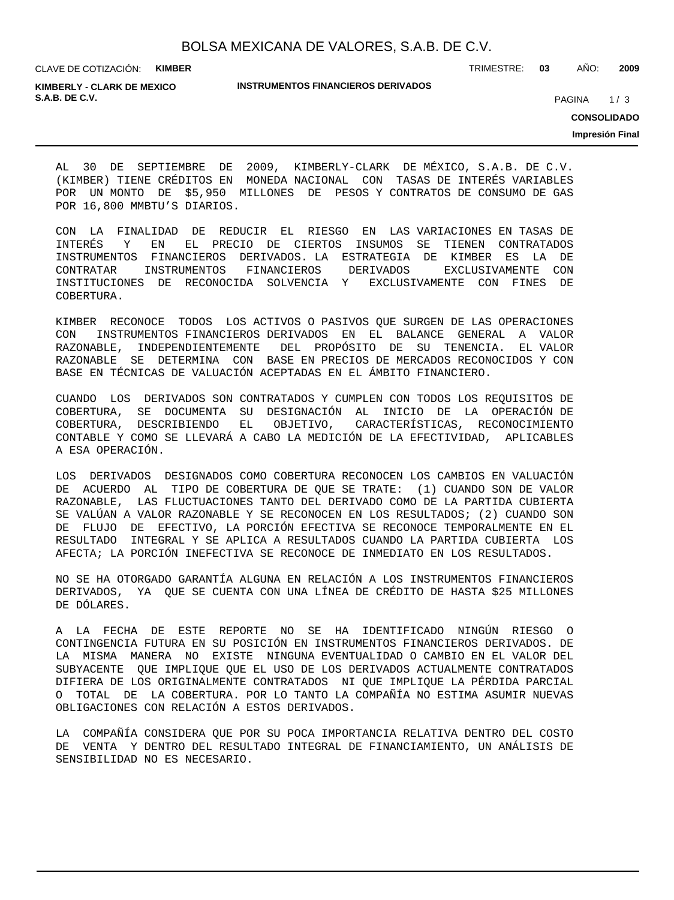CLAVE DE COTIZACIÓN: **KIMBER**

**KIMBERLY - CLARK DE MEXICO S.A.B. DE C.V. PAGINA 1999** 

**INSTRUMENTOS FINANCIEROS DERIVADOS**

TRIMESTRE: **03** AÑO: **2009**

 $1/3$ 

**CONSOLIDADO**

**Impresión Final**

AL 30 DE SEPTIEMBRE DE 2009, KIMBERLY-CLARK DE MÉXICO, S.A.B. DE C.V. (KIMBER) TIENE CRÉDITOS EN MONEDA NACIONAL CON TASAS DE INTERÉS VARIABLES POR UN MONTO DE \$5,950 MILLONES DE PESOS Y CONTRATOS DE CONSUMO DE GAS POR 16,800 MMBTU'S DIARIOS.

CON LA FINALIDAD DE REDUCIR EL RIESGO EN LAS VARIACIONES EN TASAS DE INTERÉS Y EN EL PRECIO DE CIERTOS INSUMOS SE TIENEN CONTRATADOS INSTRUMENTOS FINANCIEROS DERIVADOS. LA ESTRATEGIA DE KIMBER ES LA DE CONTRATAR INSTRUMENTOS FINANCIEROS DERIVADOS EXCLUSIVAMENTE CON INSTITUCIONES DE RECONOCIDA SOLVENCIA Y EXCLUSIVAMENTE CON FINES DE COBERTURA.

KIMBER RECONOCE TODOS LOS ACTIVOS O PASIVOS QUE SURGEN DE LAS OPERACIONES CON INSTRUMENTOS FINANCIEROS DERIVADOS EN EL BALANCE GENERAL A VALOR RAZONABLE, INDEPENDIENTEMENTE DEL PROPÓSITO DE SU TENENCIA. EL VALOR RAZONABLE SE DETERMINA CON BASE EN PRECIOS DE MERCADOS RECONOCIDOS Y CON BASE EN TÉCNICAS DE VALUACIÓN ACEPTADAS EN EL ÁMBITO FINANCIERO.

CUANDO LOS DERIVADOS SON CONTRATADOS Y CUMPLEN CON TODOS LOS REQUISITOS DE COBERTURA, SE DOCUMENTA SU DESIGNACIÓN AL INICIO DE LA OPERACIÓN DE COBERTURA, DESCRIBIENDO EL OBJETIVO, CARACTERÍSTICAS, RECONOCIMIENTO CONTABLE Y COMO SE LLEVARÁ A CABO LA MEDICIÓN DE LA EFECTIVIDAD, APLICABLES A ESA OPERACIÓN.

LOS DERIVADOS DESIGNADOS COMO COBERTURA RECONOCEN LOS CAMBIOS EN VALUACIÓN DE ACUERDO AL TIPO DE COBERTURA DE QUE SE TRATE: (1) CUANDO SON DE VALOR RAZONABLE, LAS FLUCTUACIONES TANTO DEL DERIVADO COMO DE LA PARTIDA CUBIERTA SE VALÚAN A VALOR RAZONABLE Y SE RECONOCEN EN LOS RESULTADOS; (2) CUANDO SON DE FLUJO DE EFECTIVO, LA PORCIÓN EFECTIVA SE RECONOCE TEMPORALMENTE EN EL RESULTADO INTEGRAL Y SE APLICA A RESULTADOS CUANDO LA PARTIDA CUBIERTA LOS AFECTA; LA PORCIÓN INEFECTIVA SE RECONOCE DE INMEDIATO EN LOS RESULTADOS.

NO SE HA OTORGADO GARANTÍA ALGUNA EN RELACIÓN A LOS INSTRUMENTOS FINANCIEROS DERIVADOS, YA QUE SE CUENTA CON UNA LÍNEA DE CRÉDITO DE HASTA \$25 MILLONES DE DÓLARES.

A LA FECHA DE ESTE REPORTE NO SE HA IDENTIFICADO NINGÚN RIESGO O CONTINGENCIA FUTURA EN SU POSICIÓN EN INSTRUMENTOS FINANCIEROS DERIVADOS. DE LA MISMA MANERA NO EXISTE NINGUNA EVENTUALIDAD O CAMBIO EN EL VALOR DEL SUBYACENTE QUE IMPLIQUE QUE EL USO DE LOS DERIVADOS ACTUALMENTE CONTRATADOS DIFIERA DE LOS ORIGINALMENTE CONTRATADOS NI QUE IMPLIQUE LA PÉRDIDA PARCIAL O TOTAL DE LA COBERTURA. POR LO TANTO LA COMPAÑÍA NO ESTIMA ASUMIR NUEVAS OBLIGACIONES CON RELACIÓN A ESTOS DERIVADOS.

LA COMPAÑÍA CONSIDERA QUE POR SU POCA IMPORTANCIA RELATIVA DENTRO DEL COSTO DE VENTA Y DENTRO DEL RESULTADO INTEGRAL DE FINANCIAMIENTO, UN ANÁLISIS DE SENSIBILIDAD NO ES NECESARIO.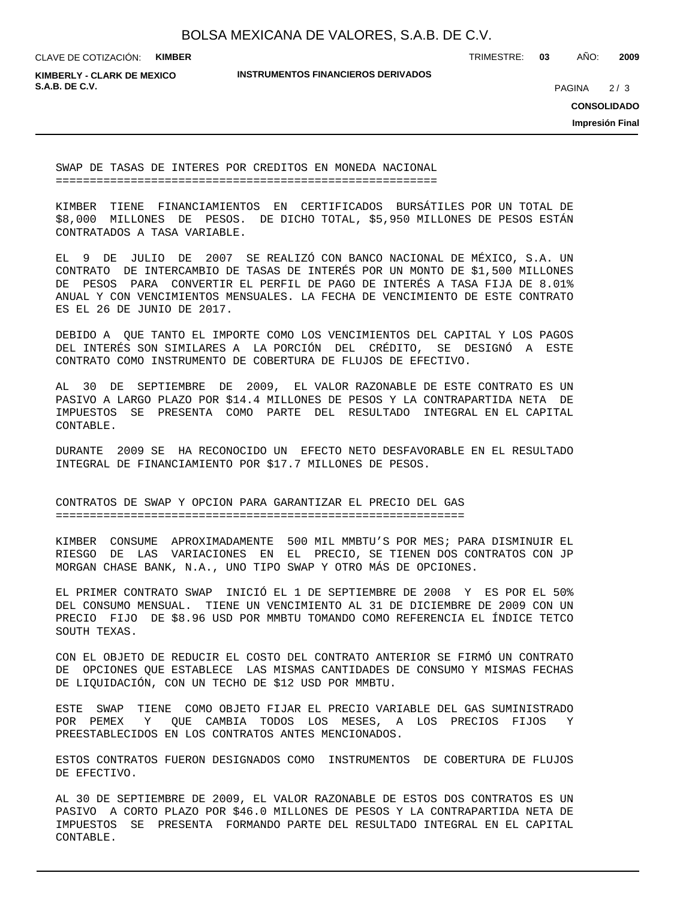CLAVE DE COTIZACIÓN: **KIMBER**

**INSTRUMENTOS FINANCIEROS DERIVADOS**

TRIMESTRE: **03** AÑO: **2009**

**KIMBERLY - CLARK DE MEXICO S.A.B. DE C.V.** PAGINA 2/3

 $2/3$ 

**CONSOLIDADO**

**Impresión Final**

SWAP DE TASAS DE INTERES POR CREDITOS EN MONEDA NACIONAL ========================================================

KIMBER TIENE FINANCIAMIENTOS EN CERTIFICADOS BURSÁTILES POR UN TOTAL DE \$8,000 MILLONES DE PESOS. DE DICHO TOTAL, \$5,950 MILLONES DE PESOS ESTÁN CONTRATADOS A TASA VARIABLE.

EL 9 DE JULIO DE 2007 SE REALIZÓ CON BANCO NACIONAL DE MÉXICO, S.A. UN CONTRATO DE INTERCAMBIO DE TASAS DE INTERÉS POR UN MONTO DE \$1,500 MILLONES DE PESOS PARA CONVERTIR EL PERFIL DE PAGO DE INTERÉS A TASA FIJA DE 8.01% ANUAL Y CON VENCIMIENTOS MENSUALES. LA FECHA DE VENCIMIENTO DE ESTE CONTRATO ES EL 26 DE JUNIO DE 2017.

DEBIDO A QUE TANTO EL IMPORTE COMO LOS VENCIMIENTOS DEL CAPITAL Y LOS PAGOS DEL INTERÉS SON SIMILARES A LA PORCIÓN DEL CRÉDITO, SE DESIGNÓ A ESTE CONTRATO COMO INSTRUMENTO DE COBERTURA DE FLUJOS DE EFECTIVO.

AL 30 DE SEPTIEMBRE DE 2009, EL VALOR RAZONABLE DE ESTE CONTRATO ES UN PASIVO A LARGO PLAZO POR \$14.4 MILLONES DE PESOS Y LA CONTRAPARTIDA NETA DE IMPUESTOS SE PRESENTA COMO PARTE DEL RESULTADO INTEGRAL EN EL CAPITAL CONTABLE.

DURANTE 2009 SE HA RECONOCIDO UN EFECTO NETO DESFAVORABLE EN EL RESULTADO INTEGRAL DE FINANCIAMIENTO POR \$17.7 MILLONES DE PESOS.

CONTRATOS DE SWAP Y OPCION PARA GARANTIZAR EL PRECIO DEL GAS ============================================================

KIMBER CONSUME APROXIMADAMENTE 500 MIL MMBTU'S POR MES; PARA DISMINUIR EL RIESGO DE LAS VARIACIONES EN EL PRECIO, SE TIENEN DOS CONTRATOS CON JP MORGAN CHASE BANK, N.A., UNO TIPO SWAP Y OTRO MÁS DE OPCIONES.

EL PRIMER CONTRATO SWAP INICIÓ EL 1 DE SEPTIEMBRE DE 2008 Y ES POR EL 50% DEL CONSUMO MENSUAL. TIENE UN VENCIMIENTO AL 31 DE DICIEMBRE DE 2009 CON UN PRECIO FIJO DE \$8.96 USD POR MMBTU TOMANDO COMO REFERENCIA EL ÍNDICE TETCO SOUTH TEXAS.

CON EL OBJETO DE REDUCIR EL COSTO DEL CONTRATO ANTERIOR SE FIRMÓ UN CONTRATO DE OPCIONES QUE ESTABLECE LAS MISMAS CANTIDADES DE CONSUMO Y MISMAS FECHAS DE LIQUIDACIÓN, CON UN TECHO DE \$12 USD POR MMBTU.

ESTE SWAP TIENE COMO OBJETO FIJAR EL PRECIO VARIABLE DEL GAS SUMINISTRADO POR PEMEX Y QUE CAMBIA TODOS LOS MESES, A LOS PRECIOS FIJOS Y PREESTABLECIDOS EN LOS CONTRATOS ANTES MENCIONADOS.

ESTOS CONTRATOS FUERON DESIGNADOS COMO INSTRUMENTOS DE COBERTURA DE FLUJOS DE EFECTIVO.

AL 30 DE SEPTIEMBRE DE 2009, EL VALOR RAZONABLE DE ESTOS DOS CONTRATOS ES UN PASIVO A CORTO PLAZO POR \$46.0 MILLONES DE PESOS Y LA CONTRAPARTIDA NETA DE IMPUESTOS SE PRESENTA FORMANDO PARTE DEL RESULTADO INTEGRAL EN EL CAPITAL CONTABLE.